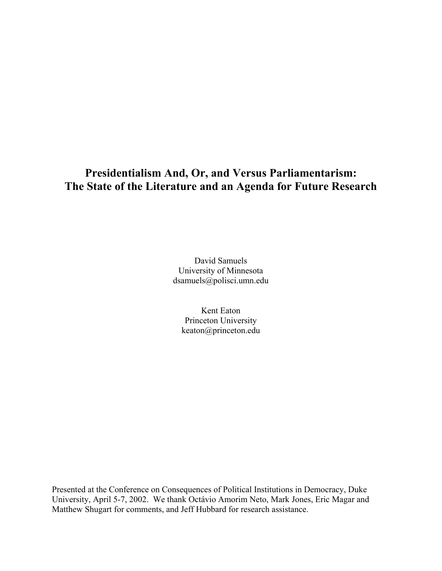# **Presidentialism And, Or, and Versus Parliamentarism: The State of the Literature and an Agenda for Future Research**

David Samuels University of Minnesota dsamuels@polisci.umn.edu

Kent Eaton Princeton University keaton@princeton.edu

Presented at the Conference on Consequences of Political Institutions in Democracy, Duke University, April 5-7, 2002. We thank Octávio Amorim Neto, Mark Jones, Eric Magar and Matthew Shugart for comments, and Jeff Hubbard for research assistance.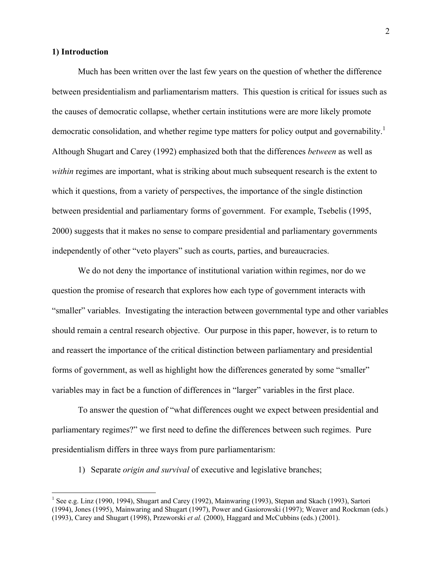## **1) Introduction**

1

Much has been written over the last few years on the question of whether the difference between presidentialism and parliamentarism matters. This question is critical for issues such as the causes of democratic collapse, whether certain institutions were are more likely promote democratic consolidation, and whether regime type matters for policy output and governability.<sup>1</sup> Although Shugart and Carey (1992) emphasized both that the differences *between* as well as *within* regimes are important, what is striking about much subsequent research is the extent to which it questions, from a variety of perspectives, the importance of the single distinction between presidential and parliamentary forms of government. For example, Tsebelis (1995, 2000) suggests that it makes no sense to compare presidential and parliamentary governments independently of other "veto players" such as courts, parties, and bureaucracies.

We do not deny the importance of institutional variation within regimes, nor do we question the promise of research that explores how each type of government interacts with "smaller" variables. Investigating the interaction between governmental type and other variables should remain a central research objective. Our purpose in this paper, however, is to return to and reassert the importance of the critical distinction between parliamentary and presidential forms of government, as well as highlight how the differences generated by some "smaller" variables may in fact be a function of differences in "larger" variables in the first place.

To answer the question of "what differences ought we expect between presidential and parliamentary regimes?" we first need to define the differences between such regimes. Pure presidentialism differs in three ways from pure parliamentarism:

1) Separate *origin and survival* of executive and legislative branches;

<sup>&</sup>lt;sup>1</sup> See e.g. Linz (1990, 1994), Shugart and Carey (1992), Mainwaring (1993), Stepan and Skach (1993), Sartori (1994), Jones (1995), Mainwaring and Shugart (1997), Power and Gasiorowski (1997); Weaver and Rockman (eds.) (1993), Carey and Shugart (1998), Przeworski *et al.* (2000), Haggard and McCubbins (eds.) (2001).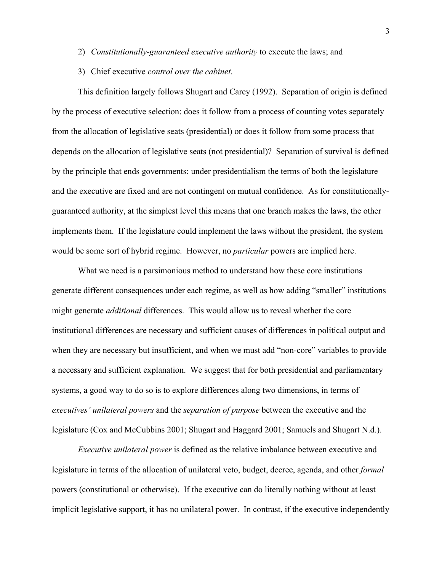- 2) *Constitutionally-guaranteed executive authority* to execute the laws; and
- 3) Chief executive *control over the cabinet*.

This definition largely follows Shugart and Carey (1992). Separation of origin is defined by the process of executive selection: does it follow from a process of counting votes separately from the allocation of legislative seats (presidential) or does it follow from some process that depends on the allocation of legislative seats (not presidential)? Separation of survival is defined by the principle that ends governments: under presidentialism the terms of both the legislature and the executive are fixed and are not contingent on mutual confidence. As for constitutionallyguaranteed authority, at the simplest level this means that one branch makes the laws, the other implements them. If the legislature could implement the laws without the president, the system would be some sort of hybrid regime. However, no *particular* powers are implied here.

What we need is a parsimonious method to understand how these core institutions generate different consequences under each regime, as well as how adding "smaller" institutions might generate *additional* differences. This would allow us to reveal whether the core institutional differences are necessary and sufficient causes of differences in political output and when they are necessary but insufficient, and when we must add "non-core" variables to provide a necessary and sufficient explanation. We suggest that for both presidential and parliamentary systems, a good way to do so is to explore differences along two dimensions, in terms of *executives' unilateral powers* and the *separation of purpose* between the executive and the legislature (Cox and McCubbins 2001; Shugart and Haggard 2001; Samuels and Shugart N.d.).

*Executive unilateral power* is defined as the relative imbalance between executive and legislature in terms of the allocation of unilateral veto, budget, decree, agenda, and other *formal* powers (constitutional or otherwise). If the executive can do literally nothing without at least implicit legislative support, it has no unilateral power. In contrast, if the executive independently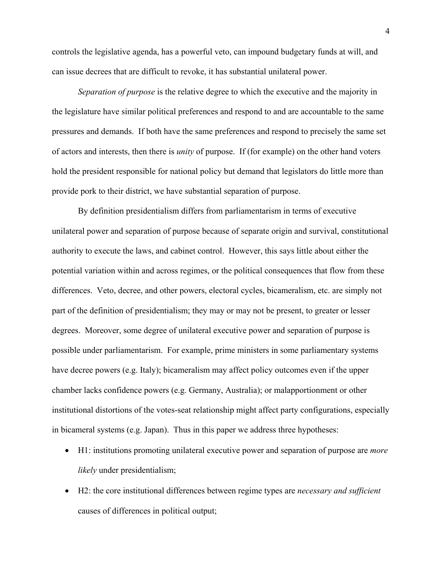controls the legislative agenda, has a powerful veto, can impound budgetary funds at will, and can issue decrees that are difficult to revoke, it has substantial unilateral power.

*Separation of purpose* is the relative degree to which the executive and the majority in the legislature have similar political preferences and respond to and are accountable to the same pressures and demands. If both have the same preferences and respond to precisely the same set of actors and interests, then there is *unity* of purpose. If (for example) on the other hand voters hold the president responsible for national policy but demand that legislators do little more than provide pork to their district, we have substantial separation of purpose.

By definition presidentialism differs from parliamentarism in terms of executive unilateral power and separation of purpose because of separate origin and survival, constitutional authority to execute the laws, and cabinet control. However, this says little about either the potential variation within and across regimes, or the political consequences that flow from these differences. Veto, decree, and other powers, electoral cycles, bicameralism, etc. are simply not part of the definition of presidentialism; they may or may not be present, to greater or lesser degrees. Moreover, some degree of unilateral executive power and separation of purpose is possible under parliamentarism. For example, prime ministers in some parliamentary systems have decree powers (e.g. Italy); bicameralism may affect policy outcomes even if the upper chamber lacks confidence powers (e.g. Germany, Australia); or malapportionment or other institutional distortions of the votes-seat relationship might affect party configurations, especially in bicameral systems (e.g. Japan). Thus in this paper we address three hypotheses:

- H1: institutions promoting unilateral executive power and separation of purpose are *more likely* under presidentialism;
- H2: the core institutional differences between regime types are *necessary and sufficient*  causes of differences in political output;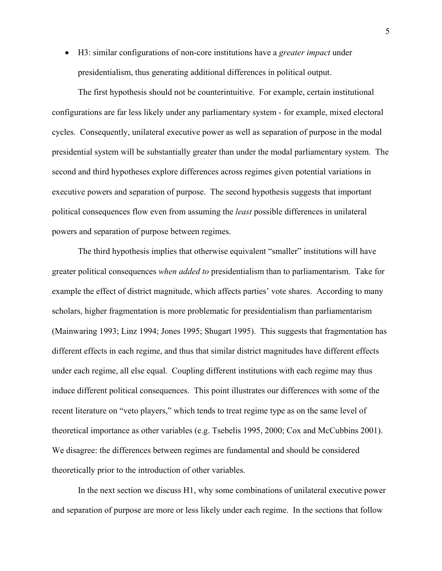• H3: similar configurations of non-core institutions have a *greater impact* under presidentialism, thus generating additional differences in political output.

The first hypothesis should not be counterintuitive. For example, certain institutional configurations are far less likely under any parliamentary system - for example, mixed electoral cycles. Consequently, unilateral executive power as well as separation of purpose in the modal presidential system will be substantially greater than under the modal parliamentary system. The second and third hypotheses explore differences across regimes given potential variations in executive powers and separation of purpose. The second hypothesis suggests that important political consequences flow even from assuming the *least* possible differences in unilateral powers and separation of purpose between regimes.

The third hypothesis implies that otherwise equivalent "smaller" institutions will have greater political consequences *when added to* presidentialism than to parliamentarism. Take for example the effect of district magnitude, which affects parties' vote shares. According to many scholars, higher fragmentation is more problematic for presidentialism than parliamentarism (Mainwaring 1993; Linz 1994; Jones 1995; Shugart 1995). This suggests that fragmentation has different effects in each regime, and thus that similar district magnitudes have different effects under each regime, all else equal. Coupling different institutions with each regime may thus induce different political consequences. This point illustrates our differences with some of the recent literature on "veto players," which tends to treat regime type as on the same level of theoretical importance as other variables (e.g. Tsebelis 1995, 2000; Cox and McCubbins 2001). We disagree: the differences between regimes are fundamental and should be considered theoretically prior to the introduction of other variables.

In the next section we discuss H1, why some combinations of unilateral executive power and separation of purpose are more or less likely under each regime. In the sections that follow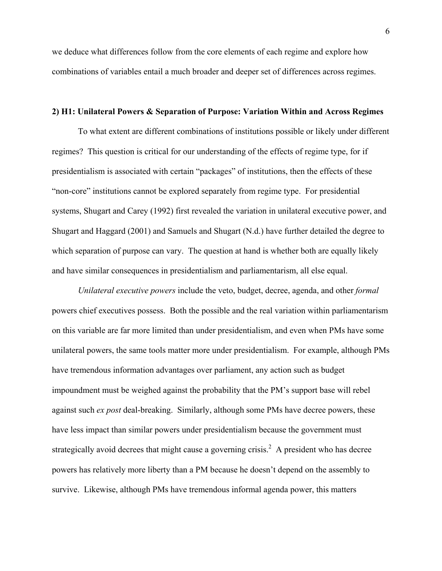we deduce what differences follow from the core elements of each regime and explore how combinations of variables entail a much broader and deeper set of differences across regimes.

## **2) H1: Unilateral Powers & Separation of Purpose: Variation Within and Across Regimes**

To what extent are different combinations of institutions possible or likely under different regimes? This question is critical for our understanding of the effects of regime type, for if presidentialism is associated with certain "packages" of institutions, then the effects of these "non-core" institutions cannot be explored separately from regime type. For presidential systems, Shugart and Carey (1992) first revealed the variation in unilateral executive power, and Shugart and Haggard (2001) and Samuels and Shugart (N.d.) have further detailed the degree to which separation of purpose can vary. The question at hand is whether both are equally likely and have similar consequences in presidentialism and parliamentarism, all else equal.

*Unilateral executive powers* include the veto, budget, decree, agenda, and other *formal* powers chief executives possess. Both the possible and the real variation within parliamentarism on this variable are far more limited than under presidentialism, and even when PMs have some unilateral powers, the same tools matter more under presidentialism. For example, although PMs have tremendous information advantages over parliament, any action such as budget impoundment must be weighed against the probability that the PM's support base will rebel against such *ex post* deal-breaking. Similarly, although some PMs have decree powers, these have less impact than similar powers under presidentialism because the government must strategically avoid decrees that might cause a governing crisis.<sup>2</sup> A president who has decree powers has relatively more liberty than a PM because he doesn't depend on the assembly to survive. Likewise, although PMs have tremendous informal agenda power, this matters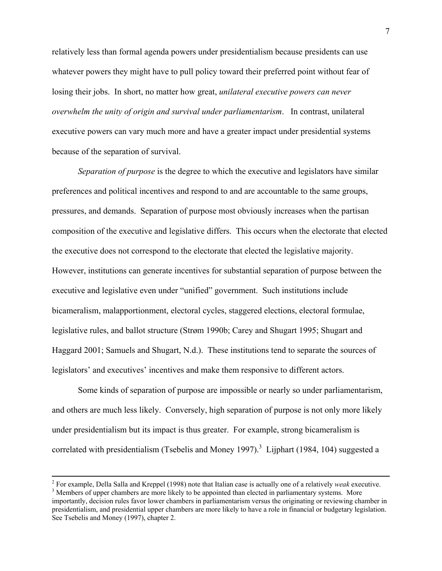relatively less than formal agenda powers under presidentialism because presidents can use whatever powers they might have to pull policy toward their preferred point without fear of losing their jobs. In short, no matter how great, *unilateral executive powers can never overwhelm the unity of origin and survival under parliamentarism*. In contrast, unilateral executive powers can vary much more and have a greater impact under presidential systems because of the separation of survival.

*Separation of purpose* is the degree to which the executive and legislators have similar preferences and political incentives and respond to and are accountable to the same groups, pressures, and demands. Separation of purpose most obviously increases when the partisan composition of the executive and legislative differs. This occurs when the electorate that elected the executive does not correspond to the electorate that elected the legislative majority. However, institutions can generate incentives for substantial separation of purpose between the executive and legislative even under "unified" government. Such institutions include bicameralism, malapportionment, electoral cycles, staggered elections, electoral formulae, legislative rules, and ballot structure (Strøm 1990b; Carey and Shugart 1995; Shugart and Haggard 2001; Samuels and Shugart, N.d.). These institutions tend to separate the sources of legislators' and executives' incentives and make them responsive to different actors.

Some kinds of separation of purpose are impossible or nearly so under parliamentarism, and others are much less likely. Conversely, high separation of purpose is not only more likely under presidentialism but its impact is thus greater. For example, strong bicameralism is correlated with presidentialism (Tsebelis and Money 1997).<sup>3</sup> Lijphart (1984, 104) suggested a

 $\frac{1}{2}$ For example, Della Salla and Kreppel (1998) note that Italian case is actually one of a relatively *weak* executive. 3

<sup>&</sup>lt;sup>3</sup> Members of upper chambers are more likely to be appointed than elected in parliamentary systems. More importantly, decision rules favor lower chambers in parliamentarism versus the originating or reviewing chamber in presidentialism, and presidential upper chambers are more likely to have a role in financial or budgetary legislation. See Tsebelis and Money (1997), chapter 2.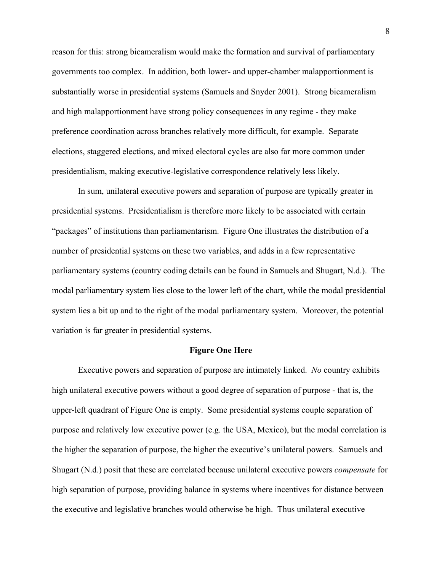reason for this: strong bicameralism would make the formation and survival of parliamentary governments too complex. In addition, both lower- and upper-chamber malapportionment is substantially worse in presidential systems (Samuels and Snyder 2001). Strong bicameralism and high malapportionment have strong policy consequences in any regime - they make preference coordination across branches relatively more difficult, for example. Separate elections, staggered elections, and mixed electoral cycles are also far more common under presidentialism, making executive-legislative correspondence relatively less likely.

In sum, unilateral executive powers and separation of purpose are typically greater in presidential systems. Presidentialism is therefore more likely to be associated with certain "packages" of institutions than parliamentarism. Figure One illustrates the distribution of a number of presidential systems on these two variables, and adds in a few representative parliamentary systems (country coding details can be found in Samuels and Shugart, N.d.). The modal parliamentary system lies close to the lower left of the chart, while the modal presidential system lies a bit up and to the right of the modal parliamentary system. Moreover, the potential variation is far greater in presidential systems.

#### **Figure One Here**

Executive powers and separation of purpose are intimately linked. *No* country exhibits high unilateral executive powers without a good degree of separation of purpose - that is, the upper-left quadrant of Figure One is empty. Some presidential systems couple separation of purpose and relatively low executive power (e.g. the USA, Mexico), but the modal correlation is the higher the separation of purpose, the higher the executive's unilateral powers. Samuels and Shugart (N.d.) posit that these are correlated because unilateral executive powers *compensate* for high separation of purpose, providing balance in systems where incentives for distance between the executive and legislative branches would otherwise be high. Thus unilateral executive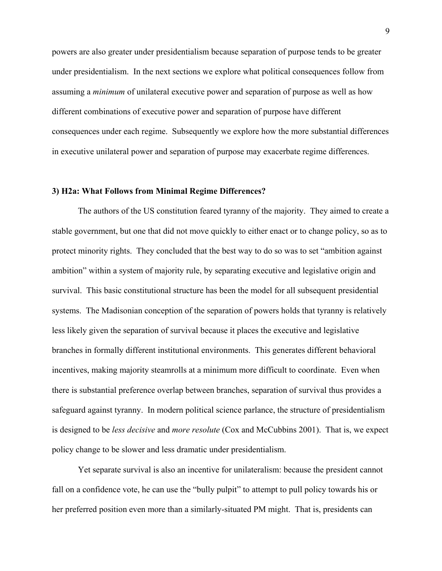powers are also greater under presidentialism because separation of purpose tends to be greater under presidentialism. In the next sections we explore what political consequences follow from assuming a *minimum* of unilateral executive power and separation of purpose as well as how different combinations of executive power and separation of purpose have different consequences under each regime. Subsequently we explore how the more substantial differences in executive unilateral power and separation of purpose may exacerbate regime differences.

## **3) H2a: What Follows from Minimal Regime Differences?**

 The authors of the US constitution feared tyranny of the majority. They aimed to create a stable government, but one that did not move quickly to either enact or to change policy, so as to protect minority rights. They concluded that the best way to do so was to set "ambition against ambition" within a system of majority rule, by separating executive and legislative origin and survival. This basic constitutional structure has been the model for all subsequent presidential systems. The Madisonian conception of the separation of powers holds that tyranny is relatively less likely given the separation of survival because it places the executive and legislative branches in formally different institutional environments. This generates different behavioral incentives, making majority steamrolls at a minimum more difficult to coordinate. Even when there is substantial preference overlap between branches, separation of survival thus provides a safeguard against tyranny. In modern political science parlance, the structure of presidentialism is designed to be *less decisive* and *more resolute* (Cox and McCubbins 2001). That is, we expect policy change to be slower and less dramatic under presidentialism.

 Yet separate survival is also an incentive for unilateralism: because the president cannot fall on a confidence vote, he can use the "bully pulpit" to attempt to pull policy towards his or her preferred position even more than a similarly-situated PM might. That is, presidents can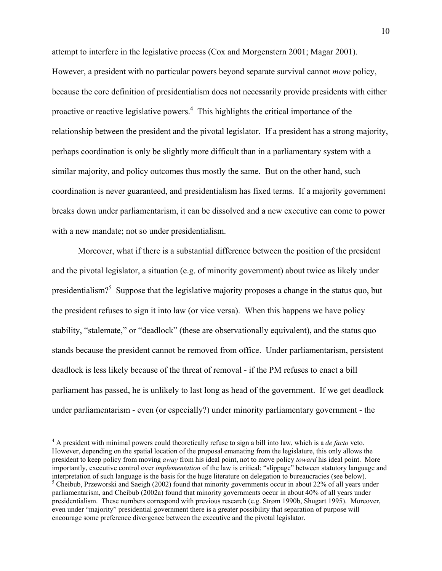attempt to interfere in the legislative process (Cox and Morgenstern 2001; Magar 2001). However, a president with no particular powers beyond separate survival cannot *move* policy, because the core definition of presidentialism does not necessarily provide presidents with either proactive or reactive legislative powers.<sup>4</sup> This highlights the critical importance of the relationship between the president and the pivotal legislator. If a president has a strong majority, perhaps coordination is only be slightly more difficult than in a parliamentary system with a similar majority, and policy outcomes thus mostly the same. But on the other hand, such coordination is never guaranteed, and presidentialism has fixed terms. If a majority government breaks down under parliamentarism, it can be dissolved and a new executive can come to power with a new mandate; not so under presidentialism.

Moreover, what if there is a substantial difference between the position of the president and the pivotal legislator, a situation (e.g. of minority government) about twice as likely under presidentialism?<sup>5</sup> Suppose that the legislative majority proposes a change in the status quo, but the president refuses to sign it into law (or vice versa). When this happens we have policy stability, "stalemate," or "deadlock" (these are observationally equivalent), and the status quo stands because the president cannot be removed from office. Under parliamentarism, persistent deadlock is less likely because of the threat of removal - if the PM refuses to enact a bill parliament has passed, he is unlikely to last long as head of the government. If we get deadlock under parliamentarism - even (or especially?) under minority parliamentary government - the

1

<sup>4</sup> A president with minimal powers could theoretically refuse to sign a bill into law, which is a *de facto* veto. However, depending on the spatial location of the proposal emanating from the legislature, this only allows the president to keep policy from moving *away* from his ideal point, not to move policy *toward* his ideal point. More importantly, executive control over *implementation* of the law is critical: "slippage" between statutory language and interpretation of such language is the basis for the huge literature on delegation to bureaucracies (see below). <sup>5</sup> Cheibub, Przeworski and Saeigh (2002) found that minority governments occur in about 22% of all years under parliamentarism, and Cheibub (2002a) found that minority governments occur in about 40% of all years under presidentialism. These numbers correspond with previous research (e.g. Strøm 1990b, Shugart 1995). Moreover, even under "majority" presidential government there is a greater possibility that separation of purpose will encourage some preference divergence between the executive and the pivotal legislator.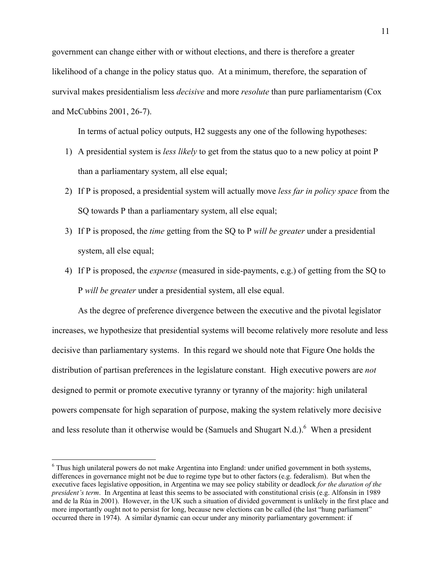government can change either with or without elections, and there is therefore a greater likelihood of a change in the policy status quo. At a minimum, therefore, the separation of survival makes presidentialism less *decisive* and more *resolute* than pure parliamentarism (Cox and McCubbins 2001, 26-7).

In terms of actual policy outputs, H2 suggests any one of the following hypotheses:

- 1) A presidential system is *less likely* to get from the status quo to a new policy at point P than a parliamentary system, all else equal;
- 2) If P is proposed, a presidential system will actually move *less far in policy space* from the SQ towards P than a parliamentary system, all else equal;
- 3) If P is proposed, the *time* getting from the SQ to P *will be greater* under a presidential system, all else equal;
- 4) If P is proposed, the *expense* (measured in side-payments, e.g.) of getting from the SQ to P *will be greater* under a presidential system, all else equal.

As the degree of preference divergence between the executive and the pivotal legislator increases, we hypothesize that presidential systems will become relatively more resolute and less decisive than parliamentary systems. In this regard we should note that Figure One holds the distribution of partisan preferences in the legislature constant. High executive powers are *not*  designed to permit or promote executive tyranny or tyranny of the majority: high unilateral powers compensate for high separation of purpose, making the system relatively more decisive and less resolute than it otherwise would be (Samuels and Shugart N.d.). <sup>6</sup> When a president

 $\overline{a}$ 

<sup>&</sup>lt;sup>6</sup> Thus high unilateral powers do not make Argentina into England: under unified government in both systems, differences in governance might not be due to regime type but to other factors (e.g. federalism). But when the executive faces legislative opposition, in Argentina we may see policy stability or deadlock *for the duration of the president's term*. In Argentina at least this seems to be associated with constitutional crisis (e.g. Alfonsín in 1989 and de la Rúa in 2001). However, in the UK such a situation of divided government is unlikely in the first place and more importantly ought not to persist for long, because new elections can be called (the last "hung parliament" occurred there in 1974). A similar dynamic can occur under any minority parliamentary government: if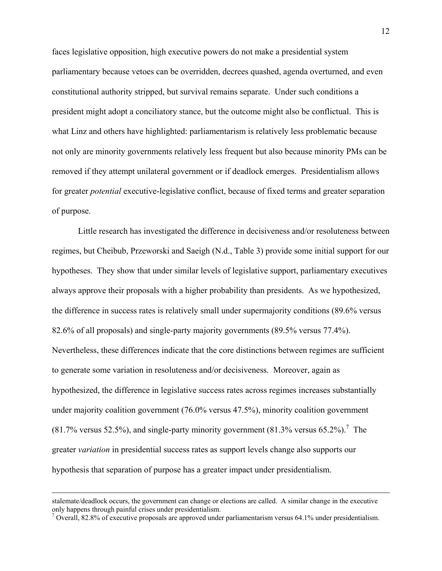faces legislative opposition, high executive powers do not make a presidential system parliamentary because vetoes can be overridden, decrees quashed, agenda overturned, and even constitutional authority stripped, but survival remains separate. Under such conditions a president might adopt a conciliatory stance, but the outcome might also be conflictual. This is what Linz and others have highlighted: parliamentarism is relatively less problematic because not only are minority governments relatively less frequent but also because minority PMs can be removed if they attempt unilateral government or if deadlock emerges. Presidentialism allows for greater *potential* executive-legislative conflict, because of fixed terms and greater separation of purpose.

Little research has investigated the difference in decisiveness and/or resoluteness between regimes, but Cheibub, Przeworski and Saeigh (N.d., Table 3) provide some initial support for our hypotheses. They show that under similar levels of legislative support, parliamentary executives always approve their proposals with a higher probability than presidents. As we hypothesized, the difference in success rates is relatively small under supermajority conditions (89.6% versus 82.6% of all proposals) and single-party majority governments (89.5% versus 77.4%). Nevertheless, these differences indicate that the core distinctions between regimes are sufficient to generate some variation in resoluteness and/or decisiveness. Moreover, again as hypothesized, the difference in legislative success rates across regimes increases substantially under majority coalition government (76.0% versus 47.5%), minority coalition government  $(81.7\%$  versus 52.5%), and single-party minority government  $(81.3\%$  versus 65.2%).<sup>7</sup> The greater *variation* in presidential success rates as support levels change also supports our hypothesis that separation of purpose has a greater impact under presidentialism.

stalemate/deadlock occurs, the government can change or elections are called. A similar change in the executive only happens through painful crises under presidentialism.

 $^7$  Overall, 82.8% of executive proposals are approved under parliamentarism versus 64.1% under presidentialism.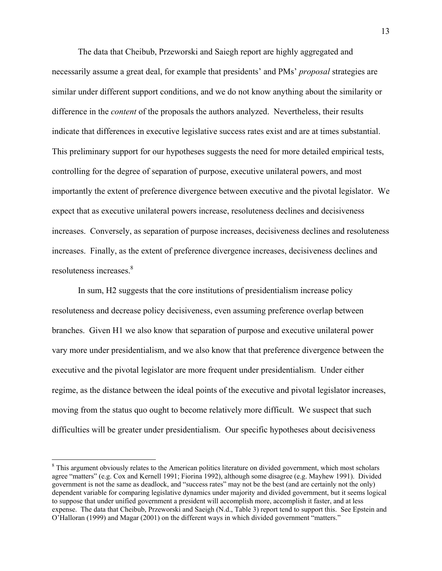The data that Cheibub, Przeworski and Saiegh report are highly aggregated and necessarily assume a great deal, for example that presidents' and PMs' *proposal* strategies are similar under different support conditions, and we do not know anything about the similarity or difference in the *content* of the proposals the authors analyzed. Nevertheless, their results indicate that differences in executive legislative success rates exist and are at times substantial. This preliminary support for our hypotheses suggests the need for more detailed empirical tests, controlling for the degree of separation of purpose, executive unilateral powers, and most importantly the extent of preference divergence between executive and the pivotal legislator. We expect that as executive unilateral powers increase, resoluteness declines and decisiveness increases. Conversely, as separation of purpose increases, decisiveness declines and resoluteness increases. Finally, as the extent of preference divergence increases, decisiveness declines and resoluteness increases.<sup>8</sup>

In sum, H2 suggests that the core institutions of presidentialism increase policy resoluteness and decrease policy decisiveness, even assuming preference overlap between branches. Given H1 we also know that separation of purpose and executive unilateral power vary more under presidentialism, and we also know that that preference divergence between the executive and the pivotal legislator are more frequent under presidentialism. Under either regime, as the distance between the ideal points of the executive and pivotal legislator increases, moving from the status quo ought to become relatively more difficult. We suspect that such difficulties will be greater under presidentialism. Our specific hypotheses about decisiveness

 $\overline{a}$ 

<sup>&</sup>lt;sup>8</sup> This argument obviously relates to the American politics literature on divided government, which most scholars agree "matters" (e.g. Cox and Kernell 1991; Fiorina 1992), although some disagree (e.g. Mayhew 1991). Divided government is not the same as deadlock, and "success rates" may not be the best (and are certainly not the only) dependent variable for comparing legislative dynamics under majority and divided government, but it seems logical to suppose that under unified government a president will accomplish more, accomplish it faster, and at less expense. The data that Cheibub, Przeworski and Saeigh (N.d., Table 3) report tend to support this. See Epstein and O'Halloran (1999) and Magar (2001) on the different ways in which divided government "matters."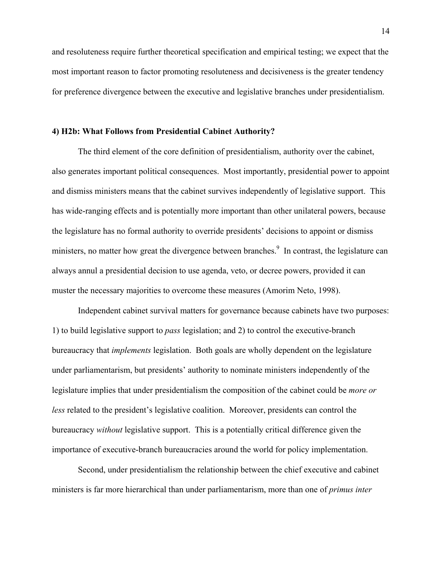and resoluteness require further theoretical specification and empirical testing; we expect that the most important reason to factor promoting resoluteness and decisiveness is the greater tendency for preference divergence between the executive and legislative branches under presidentialism.

## **4) H2b: What Follows from Presidential Cabinet Authority?**

The third element of the core definition of presidentialism, authority over the cabinet, also generates important political consequences. Most importantly, presidential power to appoint and dismiss ministers means that the cabinet survives independently of legislative support. This has wide-ranging effects and is potentially more important than other unilateral powers, because the legislature has no formal authority to override presidents' decisions to appoint or dismiss ministers, no matter how great the divergence between branches.<sup>9</sup> In contrast, the legislature can always annul a presidential decision to use agenda, veto, or decree powers, provided it can muster the necessary majorities to overcome these measures (Amorim Neto, 1998).

Independent cabinet survival matters for governance because cabinets have two purposes: 1) to build legislative support to *pass* legislation; and 2) to control the executive-branch bureaucracy that *implements* legislation. Both goals are wholly dependent on the legislature under parliamentarism, but presidents' authority to nominate ministers independently of the legislature implies that under presidentialism the composition of the cabinet could be *more or less* related to the president's legislative coalition. Moreover, presidents can control the bureaucracy *without* legislative support. This is a potentially critical difference given the importance of executive-branch bureaucracies around the world for policy implementation.

Second, under presidentialism the relationship between the chief executive and cabinet ministers is far more hierarchical than under parliamentarism, more than one of *primus inter*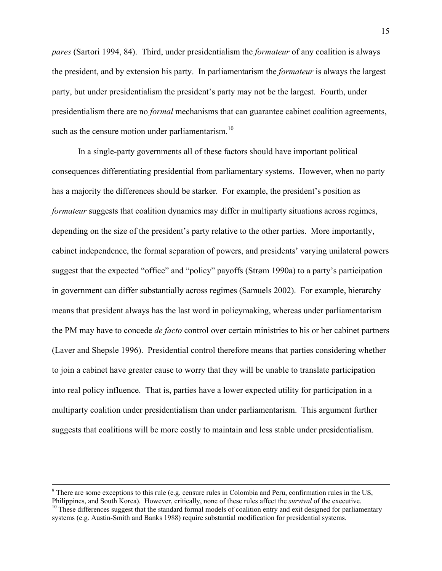*pares* (Sartori 1994, 84). Third, under presidentialism the *formateur* of any coalition is always the president, and by extension his party. In parliamentarism the *formateur* is always the largest party, but under presidentialism the president's party may not be the largest. Fourth, under presidentialism there are no *formal* mechanisms that can guarantee cabinet coalition agreements, such as the censure motion under parliamentarism. $10$ 

In a single-party governments all of these factors should have important political consequences differentiating presidential from parliamentary systems. However, when no party has a majority the differences should be starker. For example, the president's position as *formateur* suggests that coalition dynamics may differ in multiparty situations across regimes, depending on the size of the president's party relative to the other parties. More importantly, cabinet independence, the formal separation of powers, and presidents' varying unilateral powers suggest that the expected "office" and "policy" payoffs (Strøm 1990a) to a party's participation in government can differ substantially across regimes (Samuels 2002). For example, hierarchy means that president always has the last word in policymaking, whereas under parliamentarism the PM may have to concede *de facto* control over certain ministries to his or her cabinet partners (Laver and Shepsle 1996). Presidential control therefore means that parties considering whether to join a cabinet have greater cause to worry that they will be unable to translate participation into real policy influence. That is, parties have a lower expected utility for participation in a multiparty coalition under presidentialism than under parliamentarism. This argument further suggests that coalitions will be more costly to maintain and less stable under presidentialism.

<sup>-&</sup>lt;br>9  $\degree$  There are some exceptions to this rule (e.g. censure rules in Colombia and Peru, confirmation rules in the US, Philippines, and South Korea). However, critically, none of these rules affect the *survival* of the exec  $10$  These differences suggest that the standard formal models of coalition entry and exit designed for parliamentary systems (e.g. Austin-Smith and Banks 1988) require substantial modification for presidential systems.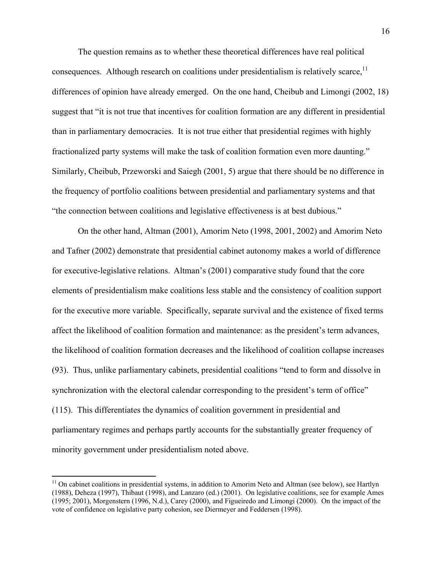The question remains as to whether these theoretical differences have real political consequences. Although research on coalitions under presidentialism is relatively scarce.<sup>11</sup> differences of opinion have already emerged. On the one hand, Cheibub and Limongi (2002, 18) suggest that "it is not true that incentives for coalition formation are any different in presidential than in parliamentary democracies. It is not true either that presidential regimes with highly fractionalized party systems will make the task of coalition formation even more daunting." Similarly, Cheibub, Przeworski and Saiegh (2001, 5) argue that there should be no difference in the frequency of portfolio coalitions between presidential and parliamentary systems and that "the connection between coalitions and legislative effectiveness is at best dubious."

On the other hand, Altman (2001), Amorim Neto (1998, 2001, 2002) and Amorim Neto and Tafner (2002) demonstrate that presidential cabinet autonomy makes a world of difference for executive-legislative relations. Altman's (2001) comparative study found that the core elements of presidentialism make coalitions less stable and the consistency of coalition support for the executive more variable. Specifically, separate survival and the existence of fixed terms affect the likelihood of coalition formation and maintenance: as the president's term advances, the likelihood of coalition formation decreases and the likelihood of coalition collapse increases (93). Thus, unlike parliamentary cabinets, presidential coalitions "tend to form and dissolve in synchronization with the electoral calendar corresponding to the president's term of office" (115). This differentiates the dynamics of coalition government in presidential and parliamentary regimes and perhaps partly accounts for the substantially greater frequency of minority government under presidentialism noted above.

 $\overline{a}$ 

<sup>&</sup>lt;sup>11</sup> On cabinet coalitions in presidential systems, in addition to Amorim Neto and Altman (see below), see Hartlyn (1988), Deheza (1997), Thibaut (1998), and Lanzaro (ed.) (2001). On legislative coalitions, see for example Ames (1995; 2001), Morgenstern (1996, N.d.), Carey (2000), and Figueiredo and Limongi (2000). On the impact of the vote of confidence on legislative party cohesion, see Diermeyer and Feddersen (1998).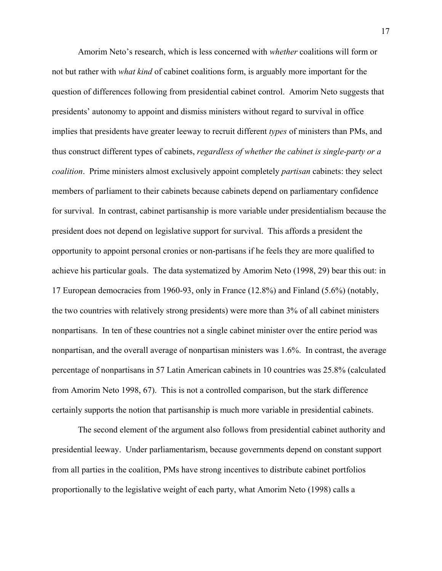Amorim Neto's research, which is less concerned with *whether* coalitions will form or not but rather with *what kind* of cabinet coalitions form, is arguably more important for the question of differences following from presidential cabinet control. Amorim Neto suggests that presidents' autonomy to appoint and dismiss ministers without regard to survival in office implies that presidents have greater leeway to recruit different *types* of ministers than PMs, and thus construct different types of cabinets, *regardless of whether the cabinet is single-party or a coalition*. Prime ministers almost exclusively appoint completely *partisan* cabinets: they select members of parliament to their cabinets because cabinets depend on parliamentary confidence for survival. In contrast, cabinet partisanship is more variable under presidentialism because the president does not depend on legislative support for survival. This affords a president the opportunity to appoint personal cronies or non-partisans if he feels they are more qualified to achieve his particular goals. The data systematized by Amorim Neto (1998, 29) bear this out: in 17 European democracies from 1960-93, only in France (12.8%) and Finland (5.6%) (notably, the two countries with relatively strong presidents) were more than 3% of all cabinet ministers nonpartisans. In ten of these countries not a single cabinet minister over the entire period was nonpartisan, and the overall average of nonpartisan ministers was 1.6%. In contrast, the average percentage of nonpartisans in 57 Latin American cabinets in 10 countries was 25.8% (calculated from Amorim Neto 1998, 67). This is not a controlled comparison, but the stark difference certainly supports the notion that partisanship is much more variable in presidential cabinets.

The second element of the argument also follows from presidential cabinet authority and presidential leeway. Under parliamentarism, because governments depend on constant support from all parties in the coalition, PMs have strong incentives to distribute cabinet portfolios proportionally to the legislative weight of each party, what Amorim Neto (1998) calls a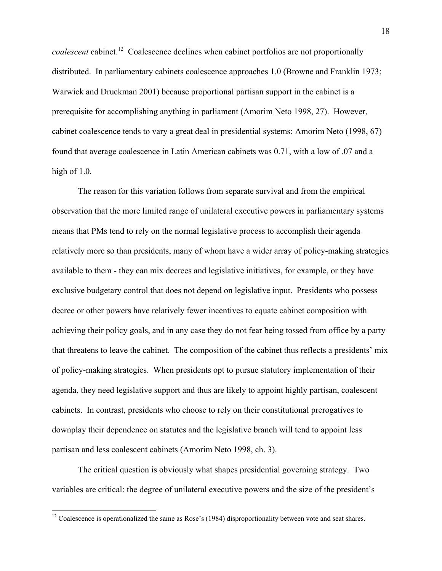*coalescent* cabinet.12 Coalescence declines when cabinet portfolios are not proportionally distributed. In parliamentary cabinets coalescence approaches 1.0 (Browne and Franklin 1973; Warwick and Druckman 2001) because proportional partisan support in the cabinet is a prerequisite for accomplishing anything in parliament (Amorim Neto 1998, 27). However, cabinet coalescence tends to vary a great deal in presidential systems: Amorim Neto (1998, 67) found that average coalescence in Latin American cabinets was 0.71, with a low of .07 and a high of 1.0.

The reason for this variation follows from separate survival and from the empirical observation that the more limited range of unilateral executive powers in parliamentary systems means that PMs tend to rely on the normal legislative process to accomplish their agenda relatively more so than presidents, many of whom have a wider array of policy-making strategies available to them - they can mix decrees and legislative initiatives, for example, or they have exclusive budgetary control that does not depend on legislative input. Presidents who possess decree or other powers have relatively fewer incentives to equate cabinet composition with achieving their policy goals, and in any case they do not fear being tossed from office by a party that threatens to leave the cabinet. The composition of the cabinet thus reflects a presidents' mix of policy-making strategies. When presidents opt to pursue statutory implementation of their agenda, they need legislative support and thus are likely to appoint highly partisan, coalescent cabinets. In contrast, presidents who choose to rely on their constitutional prerogatives to downplay their dependence on statutes and the legislative branch will tend to appoint less partisan and less coalescent cabinets (Amorim Neto 1998, ch. 3).

The critical question is obviously what shapes presidential governing strategy. Two variables are critical: the degree of unilateral executive powers and the size of the president's

 $\overline{a}$ 

 $12$  Coalescence is operationalized the same as Rose's (1984) disproportionality between vote and seat shares.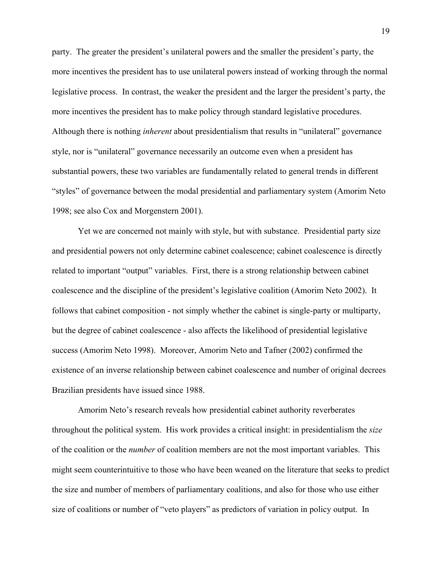party. The greater the president's unilateral powers and the smaller the president's party, the more incentives the president has to use unilateral powers instead of working through the normal legislative process. In contrast, the weaker the president and the larger the president's party, the more incentives the president has to make policy through standard legislative procedures. Although there is nothing *inherent* about presidentialism that results in "unilateral" governance style, nor is "unilateral" governance necessarily an outcome even when a president has substantial powers, these two variables are fundamentally related to general trends in different "styles" of governance between the modal presidential and parliamentary system (Amorim Neto 1998; see also Cox and Morgenstern 2001).

Yet we are concerned not mainly with style, but with substance. Presidential party size and presidential powers not only determine cabinet coalescence; cabinet coalescence is directly related to important "output" variables. First, there is a strong relationship between cabinet coalescence and the discipline of the president's legislative coalition (Amorim Neto 2002). It follows that cabinet composition - not simply whether the cabinet is single-party or multiparty, but the degree of cabinet coalescence - also affects the likelihood of presidential legislative success (Amorim Neto 1998). Moreover, Amorim Neto and Tafner (2002) confirmed the existence of an inverse relationship between cabinet coalescence and number of original decrees Brazilian presidents have issued since 1988.

Amorim Neto's research reveals how presidential cabinet authority reverberates throughout the political system. His work provides a critical insight: in presidentialism the *size* of the coalition or the *number* of coalition members are not the most important variables. This might seem counterintuitive to those who have been weaned on the literature that seeks to predict the size and number of members of parliamentary coalitions, and also for those who use either size of coalitions or number of "veto players" as predictors of variation in policy output. In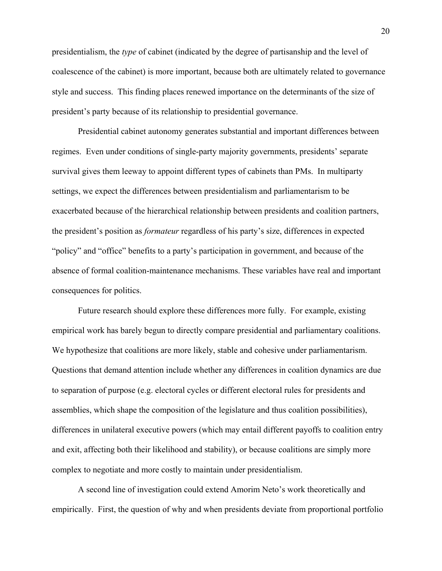presidentialism, the *type* of cabinet (indicated by the degree of partisanship and the level of coalescence of the cabinet) is more important, because both are ultimately related to governance style and success. This finding places renewed importance on the determinants of the size of president's party because of its relationship to presidential governance.

Presidential cabinet autonomy generates substantial and important differences between regimes. Even under conditions of single-party majority governments, presidents' separate survival gives them leeway to appoint different types of cabinets than PMs. In multiparty settings, we expect the differences between presidentialism and parliamentarism to be exacerbated because of the hierarchical relationship between presidents and coalition partners, the president's position as *formateur* regardless of his party's size, differences in expected "policy" and "office" benefits to a party's participation in government, and because of the absence of formal coalition-maintenance mechanisms. These variables have real and important consequences for politics.

Future research should explore these differences more fully. For example, existing empirical work has barely begun to directly compare presidential and parliamentary coalitions. We hypothesize that coalitions are more likely, stable and cohesive under parliamentarism. Questions that demand attention include whether any differences in coalition dynamics are due to separation of purpose (e.g. electoral cycles or different electoral rules for presidents and assemblies, which shape the composition of the legislature and thus coalition possibilities), differences in unilateral executive powers (which may entail different payoffs to coalition entry and exit, affecting both their likelihood and stability), or because coalitions are simply more complex to negotiate and more costly to maintain under presidentialism.

A second line of investigation could extend Amorim Neto's work theoretically and empirically. First, the question of why and when presidents deviate from proportional portfolio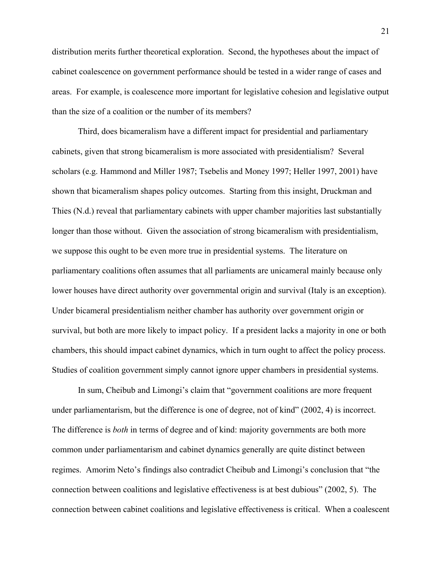distribution merits further theoretical exploration. Second, the hypotheses about the impact of cabinet coalescence on government performance should be tested in a wider range of cases and areas. For example, is coalescence more important for legislative cohesion and legislative output than the size of a coalition or the number of its members?

Third, does bicameralism have a different impact for presidential and parliamentary cabinets, given that strong bicameralism is more associated with presidentialism? Several scholars (e.g. Hammond and Miller 1987; Tsebelis and Money 1997; Heller 1997, 2001) have shown that bicameralism shapes policy outcomes. Starting from this insight, Druckman and Thies (N.d.) reveal that parliamentary cabinets with upper chamber majorities last substantially longer than those without. Given the association of strong bicameralism with presidentialism, we suppose this ought to be even more true in presidential systems. The literature on parliamentary coalitions often assumes that all parliaments are unicameral mainly because only lower houses have direct authority over governmental origin and survival (Italy is an exception). Under bicameral presidentialism neither chamber has authority over government origin or survival, but both are more likely to impact policy. If a president lacks a majority in one or both chambers, this should impact cabinet dynamics, which in turn ought to affect the policy process. Studies of coalition government simply cannot ignore upper chambers in presidential systems.

In sum, Cheibub and Limongi's claim that "government coalitions are more frequent under parliamentarism, but the difference is one of degree, not of kind" (2002, 4) is incorrect. The difference is *both* in terms of degree and of kind: majority governments are both more common under parliamentarism and cabinet dynamics generally are quite distinct between regimes. Amorim Neto's findings also contradict Cheibub and Limongi's conclusion that "the connection between coalitions and legislative effectiveness is at best dubious" (2002, 5). The connection between cabinet coalitions and legislative effectiveness is critical. When a coalescent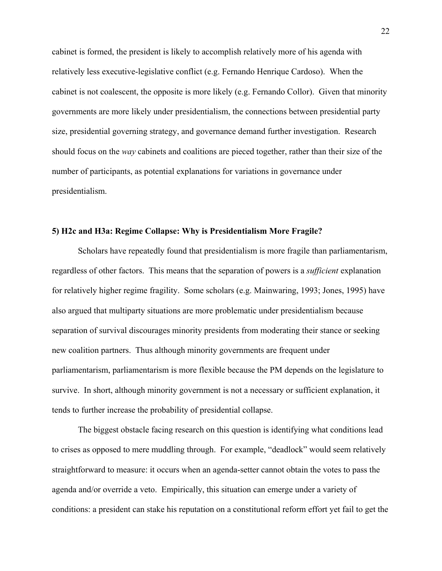cabinet is formed, the president is likely to accomplish relatively more of his agenda with relatively less executive-legislative conflict (e.g. Fernando Henrique Cardoso). When the cabinet is not coalescent, the opposite is more likely (e.g. Fernando Collor). Given that minority governments are more likely under presidentialism, the connections between presidential party size, presidential governing strategy, and governance demand further investigation. Research should focus on the *way* cabinets and coalitions are pieced together, rather than their size of the number of participants, as potential explanations for variations in governance under presidentialism.

#### **5) H2c and H3a: Regime Collapse: Why is Presidentialism More Fragile?**

Scholars have repeatedly found that presidentialism is more fragile than parliamentarism, regardless of other factors. This means that the separation of powers is a *sufficient* explanation for relatively higher regime fragility. Some scholars (e.g. Mainwaring, 1993; Jones, 1995) have also argued that multiparty situations are more problematic under presidentialism because separation of survival discourages minority presidents from moderating their stance or seeking new coalition partners. Thus although minority governments are frequent under parliamentarism, parliamentarism is more flexible because the PM depends on the legislature to survive. In short, although minority government is not a necessary or sufficient explanation, it tends to further increase the probability of presidential collapse.

The biggest obstacle facing research on this question is identifying what conditions lead to crises as opposed to mere muddling through. For example, "deadlock" would seem relatively straightforward to measure: it occurs when an agenda-setter cannot obtain the votes to pass the agenda and/or override a veto. Empirically, this situation can emerge under a variety of conditions: a president can stake his reputation on a constitutional reform effort yet fail to get the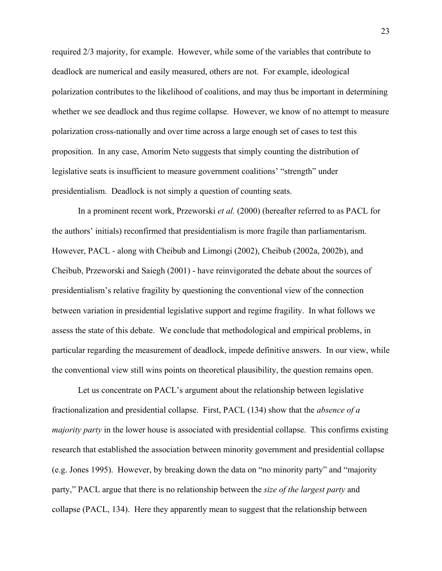required 2/3 majority, for example. However, while some of the variables that contribute to deadlock are numerical and easily measured, others are not. For example, ideological polarization contributes to the likelihood of coalitions, and may thus be important in determining whether we see deadlock and thus regime collapse. However, we know of no attempt to measure polarization cross-nationally and over time across a large enough set of cases to test this proposition. In any case, Amorim Neto suggests that simply counting the distribution of legislative seats is insufficient to measure government coalitions' "strength" under presidentialism. Deadlock is not simply a question of counting seats.

In a prominent recent work, Przeworski *et al.* (2000) (hereafter referred to as PACL for the authors' initials) reconfirmed that presidentialism is more fragile than parliamentarism. However, PACL - along with Cheibub and Limongi (2002), Cheibub (2002a, 2002b), and Cheibub, Przeworski and Saiegh (2001) - have reinvigorated the debate about the sources of presidentialism's relative fragility by questioning the conventional view of the connection between variation in presidential legislative support and regime fragility. In what follows we assess the state of this debate. We conclude that methodological and empirical problems, in particular regarding the measurement of deadlock, impede definitive answers. In our view, while the conventional view still wins points on theoretical plausibility, the question remains open.

Let us concentrate on PACL's argument about the relationship between legislative fractionalization and presidential collapse. First, PACL (134) show that the *absence of a majority party* in the lower house is associated with presidential collapse. This confirms existing research that established the association between minority government and presidential collapse (e.g. Jones 1995). However, by breaking down the data on "no minority party" and "majority party," PACL argue that there is no relationship between the *size of the largest party* and collapse (PACL, 134). Here they apparently mean to suggest that the relationship between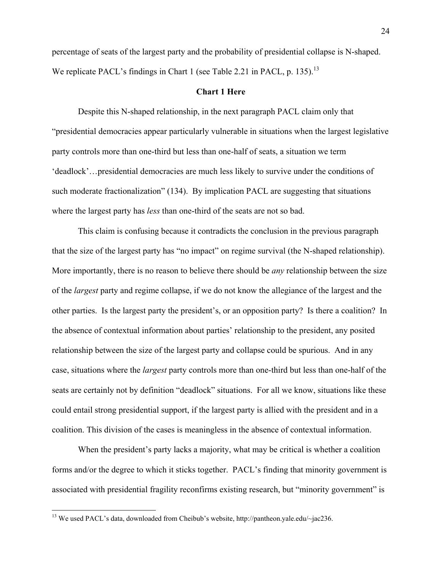percentage of seats of the largest party and the probability of presidential collapse is N-shaped. We replicate PACL's findings in Chart 1 (see Table 2.21 in PACL, p. 135).<sup>13</sup>

## **Chart 1 Here**

Despite this N-shaped relationship, in the next paragraph PACL claim only that "presidential democracies appear particularly vulnerable in situations when the largest legislative party controls more than one-third but less than one-half of seats, a situation we term 'deadlock'…presidential democracies are much less likely to survive under the conditions of such moderate fractionalization" (134). By implication PACL are suggesting that situations where the largest party has *less* than one-third of the seats are not so bad.

This claim is confusing because it contradicts the conclusion in the previous paragraph that the size of the largest party has "no impact" on regime survival (the N-shaped relationship). More importantly, there is no reason to believe there should be *any* relationship between the size of the *largest* party and regime collapse, if we do not know the allegiance of the largest and the other parties. Is the largest party the president's, or an opposition party? Is there a coalition? In the absence of contextual information about parties' relationship to the president, any posited relationship between the size of the largest party and collapse could be spurious. And in any case, situations where the *largest* party controls more than one-third but less than one-half of the seats are certainly not by definition "deadlock" situations. For all we know, situations like these could entail strong presidential support, if the largest party is allied with the president and in a coalition. This division of the cases is meaningless in the absence of contextual information.

When the president's party lacks a majority, what may be critical is whether a coalition forms and/or the degree to which it sticks together. PACL's finding that minority government is associated with presidential fragility reconfirms existing research, but "minority government" is

 $\overline{a}$ 

<sup>&</sup>lt;sup>13</sup> We used PACL's data, downloaded from Cheibub's website, http://pantheon.yale.edu/~jac236.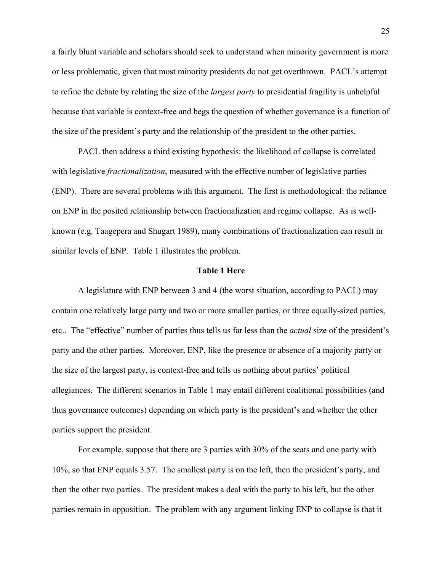a fairly blunt variable and scholars should seek to understand when minority government is more or less problematic, given that most minority presidents do not get overthrown. PACL's attempt to refine the debate by relating the size of the *largest party* to presidential fragility is unhelpful because that variable is context-free and begs the question of whether governance is a function of the size of the president's party and the relationship of the president to the other parties.

PACL then address a third existing hypothesis: the likelihood of collapse is correlated with legislative *fractionalization*, measured with the effective number of legislative parties (ENP). There are several problems with this argument. The first is methodological: the reliance on ENP in the posited relationship between fractionalization and regime collapse. As is wellknown (e.g. Taagepera and Shugart 1989), many combinations of fractionalization can result in similar levels of ENP. Table 1 illustrates the problem.

#### **Table 1 Here**

A legislature with ENP between 3 and 4 (the worst situation, according to PACL) may contain one relatively large party and two or more smaller parties, or three equally-sized parties, etc.. The "effective" number of parties thus tells us far less than the *actual* size of the president's party and the other parties. Moreover, ENP, like the presence or absence of a majority party or the size of the largest party, is context-free and tells us nothing about parties' political allegiances. The different scenarios in Table 1 may entail different coalitional possibilities (and thus governance outcomes) depending on which party is the president's and whether the other parties support the president.

For example, suppose that there are 3 parties with 30% of the seats and one party with 10%, so that ENP equals 3.57. The smallest party is on the left, then the president's party, and then the other two parties. The president makes a deal with the party to his left, but the other parties remain in opposition. The problem with any argument linking ENP to collapse is that it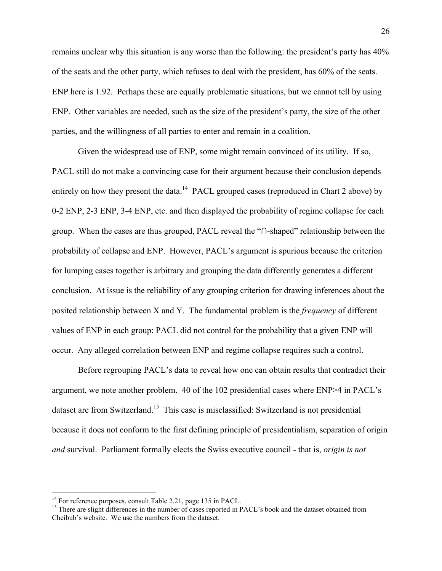remains unclear why this situation is any worse than the following: the president's party has 40% of the seats and the other party, which refuses to deal with the president, has 60% of the seats. ENP here is 1.92. Perhaps these are equally problematic situations, but we cannot tell by using ENP. Other variables are needed, such as the size of the president's party, the size of the other parties, and the willingness of all parties to enter and remain in a coalition.

Given the widespread use of ENP, some might remain convinced of its utility. If so, PACL still do not make a convincing case for their argument because their conclusion depends entirely on how they present the data.<sup>14</sup> PACL grouped cases (reproduced in Chart 2 above) by 0-2 ENP, 2-3 ENP, 3-4 ENP, etc. and then displayed the probability of regime collapse for each group. When the cases are thus grouped, PACL reveal the "**∩**-shaped" relationship between the probability of collapse and ENP. However, PACL's argument is spurious because the criterion for lumping cases together is arbitrary and grouping the data differently generates a different conclusion. At issue is the reliability of any grouping criterion for drawing inferences about the posited relationship between X and Y. The fundamental problem is the *frequency* of different values of ENP in each group: PACL did not control for the probability that a given ENP will occur. Any alleged correlation between ENP and regime collapse requires such a control.

Before regrouping PACL's data to reveal how one can obtain results that contradict their argument, we note another problem. 40 of the 102 presidential cases where ENP>4 in PACL's dataset are from Switzerland.15 This case is misclassified: Switzerland is not presidential because it does not conform to the first defining principle of presidentialism, separation of origin *and* survival. Parliament formally elects the Swiss executive council - that is, *origin is not* 

 $\overline{a}$ 

<sup>&</sup>lt;sup>14</sup> For reference purposes, consult Table 2.21, page 135 in PACL.

<sup>&</sup>lt;sup>15</sup> There are slight differences in the number of cases reported in PACL's book and the dataset obtained from Cheibub's website. We use the numbers from the dataset.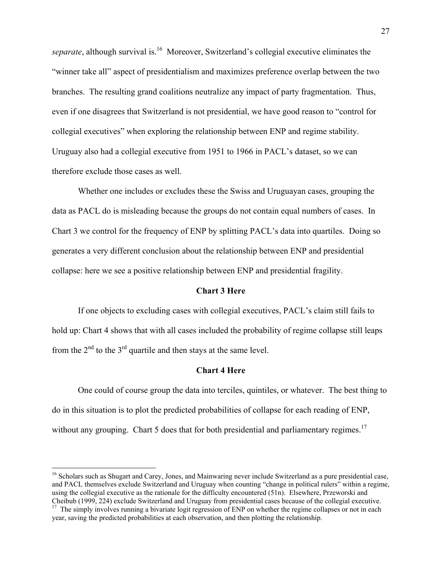*separate*, although survival is.<sup>16</sup> Moreover, Switzerland's collegial executive eliminates the "winner take all" aspect of presidentialism and maximizes preference overlap between the two branches. The resulting grand coalitions neutralize any impact of party fragmentation. Thus, even if one disagrees that Switzerland is not presidential, we have good reason to "control for collegial executives" when exploring the relationship between ENP and regime stability. Uruguay also had a collegial executive from 1951 to 1966 in PACL's dataset, so we can therefore exclude those cases as well.

Whether one includes or excludes these the Swiss and Uruguayan cases, grouping the data as PACL do is misleading because the groups do not contain equal numbers of cases. In Chart 3 we control for the frequency of ENP by splitting PACL's data into quartiles. Doing so generates a very different conclusion about the relationship between ENP and presidential collapse: here we see a positive relationship between ENP and presidential fragility.

## **Chart 3 Here**

If one objects to excluding cases with collegial executives, PACL's claim still fails to hold up: Chart 4 shows that with all cases included the probability of regime collapse still leaps from the  $2<sup>nd</sup>$  to the  $3<sup>rd</sup>$  quartile and then stays at the same level.

#### **Chart 4 Here**

One could of course group the data into terciles, quintiles, or whatever. The best thing to do in this situation is to plot the predicted probabilities of collapse for each reading of ENP, without any grouping. Chart 5 does that for both presidential and parliamentary regimes.<sup>17</sup>

1

<sup>&</sup>lt;sup>16</sup> Scholars such as Shugart and Carey, Jones, and Mainwaring never include Switzerland as a pure presidential case, and PACL themselves exclude Switzerland and Uruguay when counting "change in political rulers" within a regime, using the collegial executive as the rationale for the difficulty encountered (51n). Elsewhere, Przeworski and Cheibub (1999, 224) exclude Switzerland and Uruguay from presidential cases because of the collegial executive.  $17$  The simply involves running a bivariate logit regression of ENP on whether the regime collapses or not in each

year, saving the predicted probabilities at each observation, and then plotting the relationship.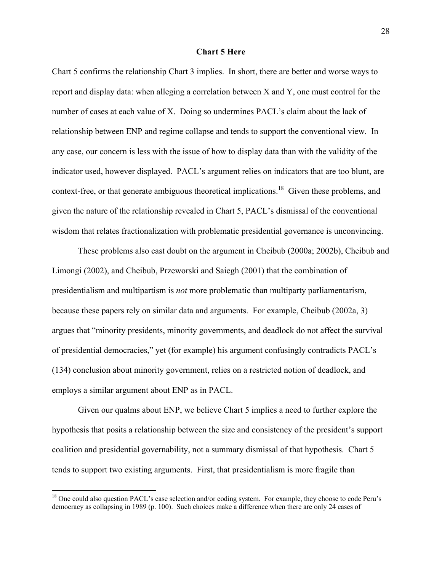## **Chart 5 Here**

Chart 5 confirms the relationship Chart 3 implies. In short, there are better and worse ways to report and display data: when alleging a correlation between X and Y, one must control for the number of cases at each value of X. Doing so undermines PACL's claim about the lack of relationship between ENP and regime collapse and tends to support the conventional view. In any case, our concern is less with the issue of how to display data than with the validity of the indicator used, however displayed. PACL's argument relies on indicators that are too blunt, are context-free, or that generate ambiguous theoretical implications.<sup>18</sup> Given these problems, and given the nature of the relationship revealed in Chart 5, PACL's dismissal of the conventional wisdom that relates fractionalization with problematic presidential governance is unconvincing.

These problems also cast doubt on the argument in Cheibub (2000a; 2002b), Cheibub and Limongi (2002), and Cheibub, Przeworski and Saiegh (2001) that the combination of presidentialism and multipartism is *not* more problematic than multiparty parliamentarism, because these papers rely on similar data and arguments. For example, Cheibub (2002a, 3) argues that "minority presidents, minority governments, and deadlock do not affect the survival of presidential democracies," yet (for example) his argument confusingly contradicts PACL's (134) conclusion about minority government, relies on a restricted notion of deadlock, and employs a similar argument about ENP as in PACL.

Given our qualms about ENP, we believe Chart 5 implies a need to further explore the hypothesis that posits a relationship between the size and consistency of the president's support coalition and presidential governability, not a summary dismissal of that hypothesis. Chart 5 tends to support two existing arguments. First, that presidentialism is more fragile than

 $\overline{a}$ 

<sup>&</sup>lt;sup>18</sup> One could also question PACL's case selection and/or coding system. For example, they choose to code Peru's democracy as collapsing in 1989 (p. 100). Such choices make a difference when there are only 24 cases of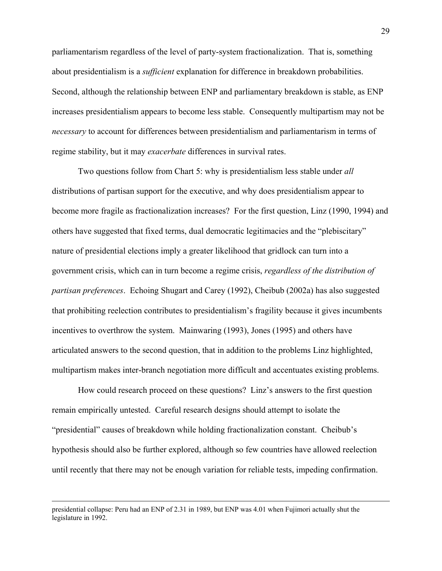parliamentarism regardless of the level of party-system fractionalization. That is, something about presidentialism is a *sufficient* explanation for difference in breakdown probabilities. Second, although the relationship between ENP and parliamentary breakdown is stable, as ENP increases presidentialism appears to become less stable. Consequently multipartism may not be *necessary* to account for differences between presidentialism and parliamentarism in terms of regime stability, but it may *exacerbate* differences in survival rates.

Two questions follow from Chart 5: why is presidentialism less stable under *all*  distributions of partisan support for the executive, and why does presidentialism appear to become more fragile as fractionalization increases? For the first question, Linz (1990, 1994) and others have suggested that fixed terms, dual democratic legitimacies and the "plebiscitary" nature of presidential elections imply a greater likelihood that gridlock can turn into a government crisis, which can in turn become a regime crisis, *regardless of the distribution of partisan preferences*. Echoing Shugart and Carey (1992), Cheibub (2002a) has also suggested that prohibiting reelection contributes to presidentialism's fragility because it gives incumbents incentives to overthrow the system. Mainwaring (1993), Jones (1995) and others have articulated answers to the second question, that in addition to the problems Linz highlighted, multipartism makes inter-branch negotiation more difficult and accentuates existing problems.

How could research proceed on these questions? Linz's answers to the first question remain empirically untested. Careful research designs should attempt to isolate the "presidential" causes of breakdown while holding fractionalization constant. Cheibub's hypothesis should also be further explored, although so few countries have allowed reelection until recently that there may not be enough variation for reliable tests, impeding confirmation.

presidential collapse: Peru had an ENP of 2.31 in 1989, but ENP was 4.01 when Fujimori actually shut the legislature in 1992.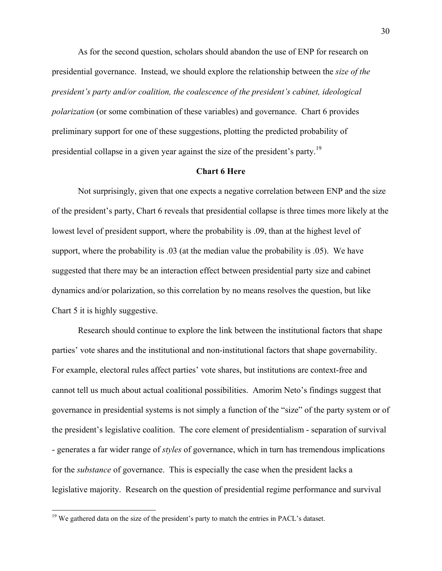As for the second question, scholars should abandon the use of ENP for research on presidential governance. Instead, we should explore the relationship between the *size of the president's party and/or coalition, the coalescence of the president's cabinet, ideological polarization* (or some combination of these variables) and governance. Chart 6 provides preliminary support for one of these suggestions, plotting the predicted probability of presidential collapse in a given year against the size of the president's party.<sup>19</sup>

## **Chart 6 Here**

Not surprisingly, given that one expects a negative correlation between ENP and the size of the president's party, Chart 6 reveals that presidential collapse is three times more likely at the lowest level of president support, where the probability is .09, than at the highest level of support, where the probability is .03 (at the median value the probability is .05). We have suggested that there may be an interaction effect between presidential party size and cabinet dynamics and/or polarization, so this correlation by no means resolves the question, but like Chart 5 it is highly suggestive.

Research should continue to explore the link between the institutional factors that shape parties' vote shares and the institutional and non-institutional factors that shape governability. For example, electoral rules affect parties' vote shares, but institutions are context-free and cannot tell us much about actual coalitional possibilities. Amorim Neto's findings suggest that governance in presidential systems is not simply a function of the "size" of the party system or of the president's legislative coalition. The core element of presidentialism - separation of survival - generates a far wider range of *styles* of governance, which in turn has tremendous implications for the *substance* of governance. This is especially the case when the president lacks a legislative majority. Research on the question of presidential regime performance and survival

 $\overline{a}$ 

 $19$  We gathered data on the size of the president's party to match the entries in PACL's dataset.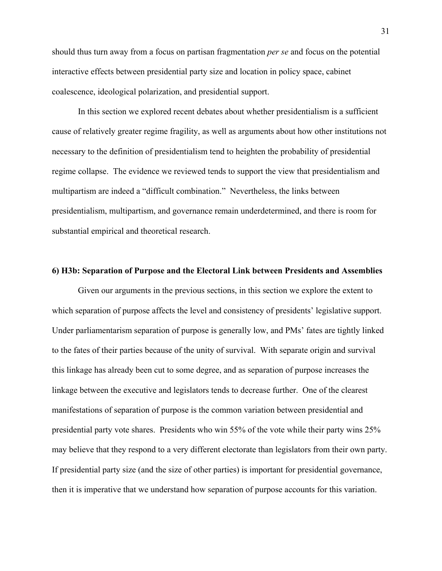should thus turn away from a focus on partisan fragmentation *per se* and focus on the potential interactive effects between presidential party size and location in policy space, cabinet coalescence, ideological polarization, and presidential support.

In this section we explored recent debates about whether presidentialism is a sufficient cause of relatively greater regime fragility, as well as arguments about how other institutions not necessary to the definition of presidentialism tend to heighten the probability of presidential regime collapse. The evidence we reviewed tends to support the view that presidentialism and multipartism are indeed a "difficult combination." Nevertheless, the links between presidentialism, multipartism, and governance remain underdetermined, and there is room for substantial empirical and theoretical research.

#### **6) H3b: Separation of Purpose and the Electoral Link between Presidents and Assemblies**

Given our arguments in the previous sections, in this section we explore the extent to which separation of purpose affects the level and consistency of presidents' legislative support. Under parliamentarism separation of purpose is generally low, and PMs' fates are tightly linked to the fates of their parties because of the unity of survival. With separate origin and survival this linkage has already been cut to some degree, and as separation of purpose increases the linkage between the executive and legislators tends to decrease further. One of the clearest manifestations of separation of purpose is the common variation between presidential and presidential party vote shares. Presidents who win 55% of the vote while their party wins 25% may believe that they respond to a very different electorate than legislators from their own party. If presidential party size (and the size of other parties) is important for presidential governance, then it is imperative that we understand how separation of purpose accounts for this variation.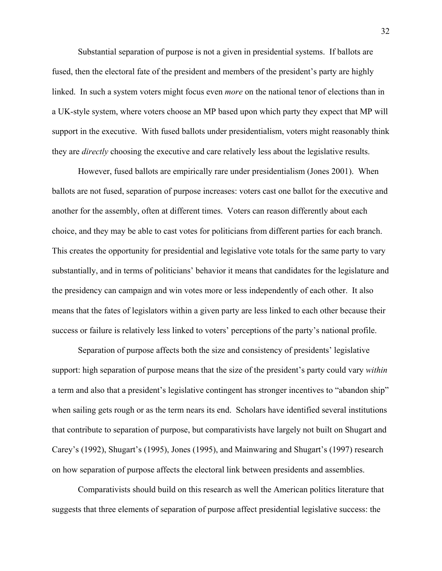Substantial separation of purpose is not a given in presidential systems. If ballots are fused, then the electoral fate of the president and members of the president's party are highly linked. In such a system voters might focus even *more* on the national tenor of elections than in a UK-style system, where voters choose an MP based upon which party they expect that MP will support in the executive. With fused ballots under presidentialism, voters might reasonably think they are *directly* choosing the executive and care relatively less about the legislative results.

However, fused ballots are empirically rare under presidentialism (Jones 2001). When ballots are not fused, separation of purpose increases: voters cast one ballot for the executive and another for the assembly, often at different times. Voters can reason differently about each choice, and they may be able to cast votes for politicians from different parties for each branch. This creates the opportunity for presidential and legislative vote totals for the same party to vary substantially, and in terms of politicians' behavior it means that candidates for the legislature and the presidency can campaign and win votes more or less independently of each other. It also means that the fates of legislators within a given party are less linked to each other because their success or failure is relatively less linked to voters' perceptions of the party's national profile.

Separation of purpose affects both the size and consistency of presidents' legislative support: high separation of purpose means that the size of the president's party could vary *within*  a term and also that a president's legislative contingent has stronger incentives to "abandon ship" when sailing gets rough or as the term nears its end. Scholars have identified several institutions that contribute to separation of purpose, but comparativists have largely not built on Shugart and Carey's (1992), Shugart's (1995), Jones (1995), and Mainwaring and Shugart's (1997) research on how separation of purpose affects the electoral link between presidents and assemblies.

Comparativists should build on this research as well the American politics literature that suggests that three elements of separation of purpose affect presidential legislative success: the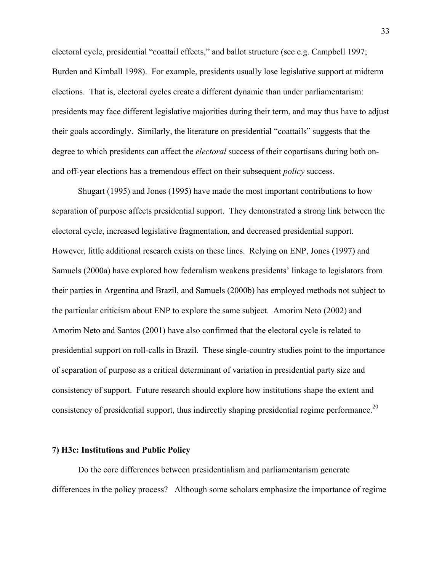electoral cycle, presidential "coattail effects," and ballot structure (see e.g. Campbell 1997; Burden and Kimball 1998). For example, presidents usually lose legislative support at midterm elections. That is, electoral cycles create a different dynamic than under parliamentarism: presidents may face different legislative majorities during their term, and may thus have to adjust their goals accordingly. Similarly, the literature on presidential "coattails" suggests that the degree to which presidents can affect the *electoral* success of their copartisans during both onand off-year elections has a tremendous effect on their subsequent *policy* success.

Shugart (1995) and Jones (1995) have made the most important contributions to how separation of purpose affects presidential support. They demonstrated a strong link between the electoral cycle, increased legislative fragmentation, and decreased presidential support. However, little additional research exists on these lines. Relying on ENP, Jones (1997) and Samuels (2000a) have explored how federalism weakens presidents' linkage to legislators from their parties in Argentina and Brazil, and Samuels (2000b) has employed methods not subject to the particular criticism about ENP to explore the same subject. Amorim Neto (2002) and Amorim Neto and Santos (2001) have also confirmed that the electoral cycle is related to presidential support on roll-calls in Brazil. These single-country studies point to the importance of separation of purpose as a critical determinant of variation in presidential party size and consistency of support. Future research should explore how institutions shape the extent and consistency of presidential support, thus indirectly shaping presidential regime performance.<sup>20</sup>

## **7) H3c: Institutions and Public Policy**

Do the core differences between presidentialism and parliamentarism generate differences in the policy process? Although some scholars emphasize the importance of regime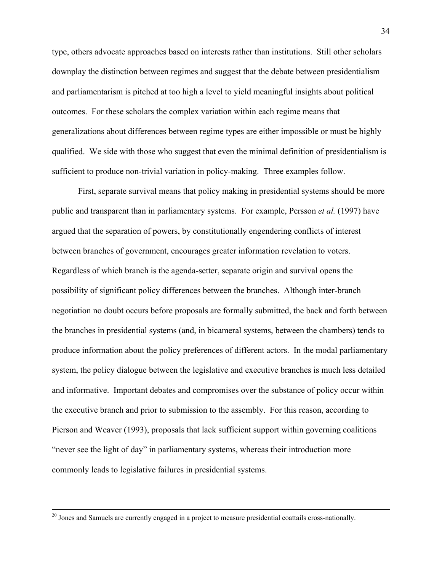type, others advocate approaches based on interests rather than institutions. Still other scholars downplay the distinction between regimes and suggest that the debate between presidentialism and parliamentarism is pitched at too high a level to yield meaningful insights about political outcomes. For these scholars the complex variation within each regime means that generalizations about differences between regime types are either impossible or must be highly qualified. We side with those who suggest that even the minimal definition of presidentialism is sufficient to produce non-trivial variation in policy-making. Three examples follow.

First, separate survival means that policy making in presidential systems should be more public and transparent than in parliamentary systems. For example, Persson *et al.* (1997) have argued that the separation of powers, by constitutionally engendering conflicts of interest between branches of government, encourages greater information revelation to voters. Regardless of which branch is the agenda-setter, separate origin and survival opens the possibility of significant policy differences between the branches. Although inter-branch negotiation no doubt occurs before proposals are formally submitted, the back and forth between the branches in presidential systems (and, in bicameral systems, between the chambers) tends to produce information about the policy preferences of different actors. In the modal parliamentary system, the policy dialogue between the legislative and executive branches is much less detailed and informative. Important debates and compromises over the substance of policy occur within the executive branch and prior to submission to the assembly. For this reason, according to Pierson and Weaver (1993), proposals that lack sufficient support within governing coalitions "never see the light of day" in parliamentary systems, whereas their introduction more commonly leads to legislative failures in presidential systems.

<sup>&</sup>lt;sup>20</sup> Jones and Samuels are currently engaged in a project to measure presidential coattails cross-nationally.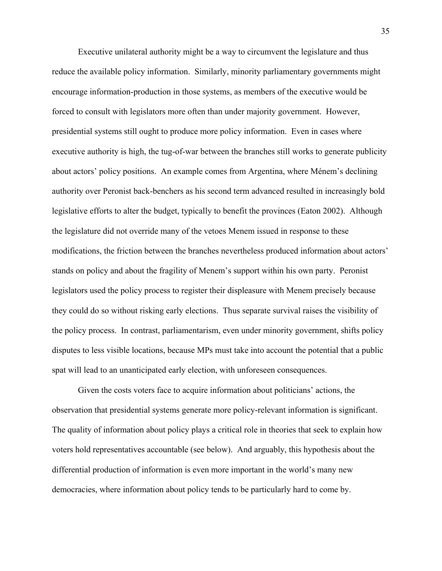Executive unilateral authority might be a way to circumvent the legislature and thus reduce the available policy information. Similarly, minority parliamentary governments might encourage information-production in those systems, as members of the executive would be forced to consult with legislators more often than under majority government. However, presidential systems still ought to produce more policy information. Even in cases where executive authority is high, the tug-of-war between the branches still works to generate publicity about actors' policy positions. An example comes from Argentina, where Ménem's declining authority over Peronist back-benchers as his second term advanced resulted in increasingly bold legislative efforts to alter the budget, typically to benefit the provinces (Eaton 2002). Although the legislature did not override many of the vetoes Menem issued in response to these modifications, the friction between the branches nevertheless produced information about actors' stands on policy and about the fragility of Menem's support within his own party. Peronist legislators used the policy process to register their displeasure with Menem precisely because they could do so without risking early elections. Thus separate survival raises the visibility of the policy process. In contrast, parliamentarism, even under minority government, shifts policy disputes to less visible locations, because MPs must take into account the potential that a public spat will lead to an unanticipated early election, with unforeseen consequences.

Given the costs voters face to acquire information about politicians' actions, the observation that presidential systems generate more policy-relevant information is significant. The quality of information about policy plays a critical role in theories that seek to explain how voters hold representatives accountable (see below). And arguably, this hypothesis about the differential production of information is even more important in the world's many new democracies, where information about policy tends to be particularly hard to come by.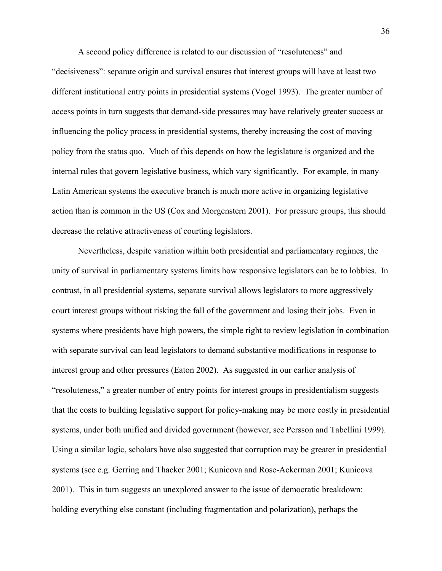A second policy difference is related to our discussion of "resoluteness" and "decisiveness": separate origin and survival ensures that interest groups will have at least two different institutional entry points in presidential systems (Vogel 1993). The greater number of access points in turn suggests that demand-side pressures may have relatively greater success at influencing the policy process in presidential systems, thereby increasing the cost of moving policy from the status quo. Much of this depends on how the legislature is organized and the internal rules that govern legislative business, which vary significantly. For example, in many Latin American systems the executive branch is much more active in organizing legislative action than is common in the US (Cox and Morgenstern 2001). For pressure groups, this should decrease the relative attractiveness of courting legislators.

Nevertheless, despite variation within both presidential and parliamentary regimes, the unity of survival in parliamentary systems limits how responsive legislators can be to lobbies. In contrast, in all presidential systems, separate survival allows legislators to more aggressively court interest groups without risking the fall of the government and losing their jobs. Even in systems where presidents have high powers, the simple right to review legislation in combination with separate survival can lead legislators to demand substantive modifications in response to interest group and other pressures (Eaton 2002). As suggested in our earlier analysis of "resoluteness," a greater number of entry points for interest groups in presidentialism suggests that the costs to building legislative support for policy-making may be more costly in presidential systems, under both unified and divided government (however, see Persson and Tabellini 1999). Using a similar logic, scholars have also suggested that corruption may be greater in presidential systems (see e.g. Gerring and Thacker 2001; Kunicova and Rose-Ackerman 2001; Kunicova 2001). This in turn suggests an unexplored answer to the issue of democratic breakdown: holding everything else constant (including fragmentation and polarization), perhaps the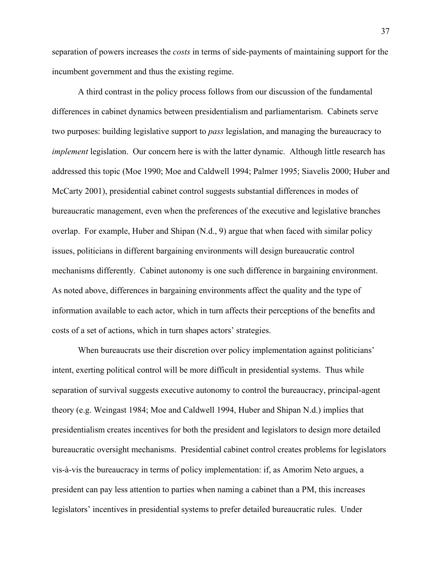separation of powers increases the *costs* in terms of side-payments of maintaining support for the incumbent government and thus the existing regime.

A third contrast in the policy process follows from our discussion of the fundamental differences in cabinet dynamics between presidentialism and parliamentarism. Cabinets serve two purposes: building legislative support to *pass* legislation, and managing the bureaucracy to *implement* legislation. Our concern here is with the latter dynamic. Although little research has addressed this topic (Moe 1990; Moe and Caldwell 1994; Palmer 1995; Siavelis 2000; Huber and McCarty 2001), presidential cabinet control suggests substantial differences in modes of bureaucratic management, even when the preferences of the executive and legislative branches overlap. For example, Huber and Shipan (N.d., 9) argue that when faced with similar policy issues, politicians in different bargaining environments will design bureaucratic control mechanisms differently. Cabinet autonomy is one such difference in bargaining environment. As noted above, differences in bargaining environments affect the quality and the type of information available to each actor, which in turn affects their perceptions of the benefits and costs of a set of actions, which in turn shapes actors' strategies.

When bureaucrats use their discretion over policy implementation against politicians' intent, exerting political control will be more difficult in presidential systems. Thus while separation of survival suggests executive autonomy to control the bureaucracy, principal-agent theory (e.g. Weingast 1984; Moe and Caldwell 1994, Huber and Shipan N.d.) implies that presidentialism creates incentives for both the president and legislators to design more detailed bureaucratic oversight mechanisms. Presidential cabinet control creates problems for legislators vis-à-vis the bureaucracy in terms of policy implementation: if, as Amorim Neto argues, a president can pay less attention to parties when naming a cabinet than a PM, this increases legislators' incentives in presidential systems to prefer detailed bureaucratic rules. Under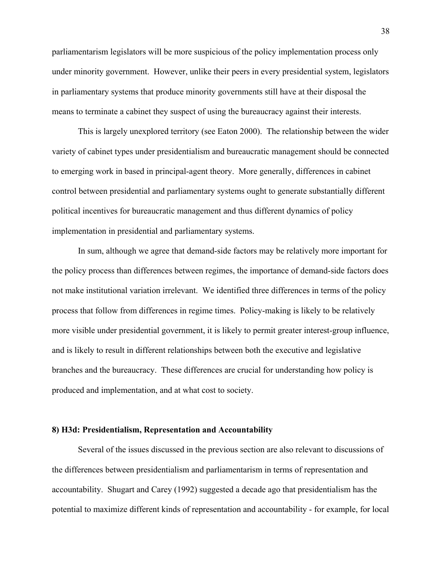parliamentarism legislators will be more suspicious of the policy implementation process only under minority government. However, unlike their peers in every presidential system, legislators in parliamentary systems that produce minority governments still have at their disposal the means to terminate a cabinet they suspect of using the bureaucracy against their interests.

This is largely unexplored territory (see Eaton 2000). The relationship between the wider variety of cabinet types under presidentialism and bureaucratic management should be connected to emerging work in based in principal-agent theory. More generally, differences in cabinet control between presidential and parliamentary systems ought to generate substantially different political incentives for bureaucratic management and thus different dynamics of policy implementation in presidential and parliamentary systems.

In sum, although we agree that demand-side factors may be relatively more important for the policy process than differences between regimes, the importance of demand-side factors does not make institutional variation irrelevant. We identified three differences in terms of the policy process that follow from differences in regime times. Policy-making is likely to be relatively more visible under presidential government, it is likely to permit greater interest-group influence, and is likely to result in different relationships between both the executive and legislative branches and the bureaucracy. These differences are crucial for understanding how policy is produced and implementation, and at what cost to society.

## **8) H3d: Presidentialism, Representation and Accountability**

 Several of the issues discussed in the previous section are also relevant to discussions of the differences between presidentialism and parliamentarism in terms of representation and accountability. Shugart and Carey (1992) suggested a decade ago that presidentialism has the potential to maximize different kinds of representation and accountability - for example, for local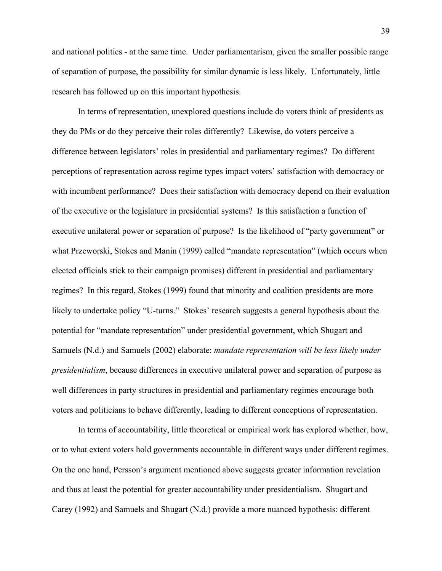and national politics - at the same time. Under parliamentarism, given the smaller possible range of separation of purpose, the possibility for similar dynamic is less likely. Unfortunately, little research has followed up on this important hypothesis.

In terms of representation, unexplored questions include do voters think of presidents as they do PMs or do they perceive their roles differently? Likewise, do voters perceive a difference between legislators' roles in presidential and parliamentary regimes? Do different perceptions of representation across regime types impact voters' satisfaction with democracy or with incumbent performance? Does their satisfaction with democracy depend on their evaluation of the executive or the legislature in presidential systems? Is this satisfaction a function of executive unilateral power or separation of purpose? Is the likelihood of "party government" or what Przeworski, Stokes and Manin (1999) called "mandate representation" (which occurs when elected officials stick to their campaign promises) different in presidential and parliamentary regimes? In this regard, Stokes (1999) found that minority and coalition presidents are more likely to undertake policy "U-turns." Stokes' research suggests a general hypothesis about the potential for "mandate representation" under presidential government, which Shugart and Samuels (N.d.) and Samuels (2002) elaborate: *mandate representation will be less likely under presidentialism*, because differences in executive unilateral power and separation of purpose as well differences in party structures in presidential and parliamentary regimes encourage both voters and politicians to behave differently, leading to different conceptions of representation.

In terms of accountability, little theoretical or empirical work has explored whether, how, or to what extent voters hold governments accountable in different ways under different regimes. On the one hand, Persson's argument mentioned above suggests greater information revelation and thus at least the potential for greater accountability under presidentialism. Shugart and Carey (1992) and Samuels and Shugart (N.d.) provide a more nuanced hypothesis: different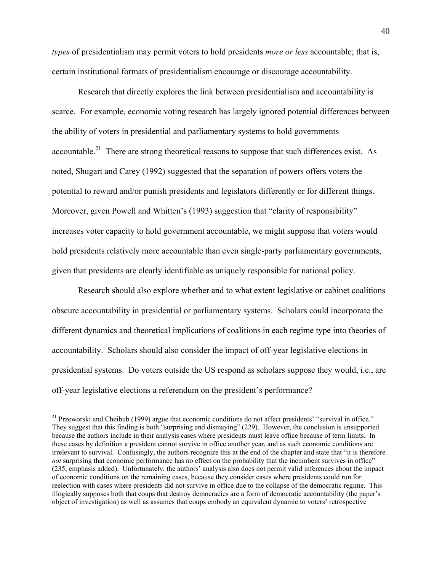*types* of presidentialism may permit voters to hold presidents *more or less* accountable; that is, certain institutional formats of presidentialism encourage or discourage accountability.

Research that directly explores the link between presidentialism and accountability is scarce. For example, economic voting research has largely ignored potential differences between the ability of voters in presidential and parliamentary systems to hold governments accountable.<sup>21</sup> There are strong theoretical reasons to suppose that such differences exist. As noted, Shugart and Carey (1992) suggested that the separation of powers offers voters the potential to reward and/or punish presidents and legislators differently or for different things. Moreover, given Powell and Whitten's (1993) suggestion that "clarity of responsibility" increases voter capacity to hold government accountable, we might suppose that voters would hold presidents relatively more accountable than even single-party parliamentary governments, given that presidents are clearly identifiable as uniquely responsible for national policy.

Research should also explore whether and to what extent legislative or cabinet coalitions obscure accountability in presidential or parliamentary systems. Scholars could incorporate the different dynamics and theoretical implications of coalitions in each regime type into theories of accountability. Scholars should also consider the impact of off-year legislative elections in presidential systems. Do voters outside the US respond as scholars suppose they would, i.e., are off-year legislative elections a referendum on the president's performance?

<u>.</u>

<sup>&</sup>lt;sup>21</sup> Przeworski and Cheibub (1999) argue that economic conditions do not affect presidents' "survival in office." They suggest that this finding is both "surprising and dismaying" (229). However, the conclusion is unsupported because the authors include in their analysis cases where presidents must leave office because of term limits. In these cases by definition a president cannot survive in office another year, and as such economic conditions are irrelevant to survival. Confusingly, the authors recognize this at the end of the chapter and state that "it is therefore *not* surprising that economic performance has no effect on the probability that the incumbent survives in office" (235, emphasis added). Unfortunately, the authors' analysis also does not permit valid inferences about the impact of economic conditions on the remaining cases, because they consider cases where presidents could run for reelection with cases where presidents did not survive in office due to the collapse of the democratic regime. This illogically supposes both that coups that destroy democracies are a form of democratic accountability (the paper's object of investigation) as well as assumes that coups embody an equivalent dynamic to voters' retrospective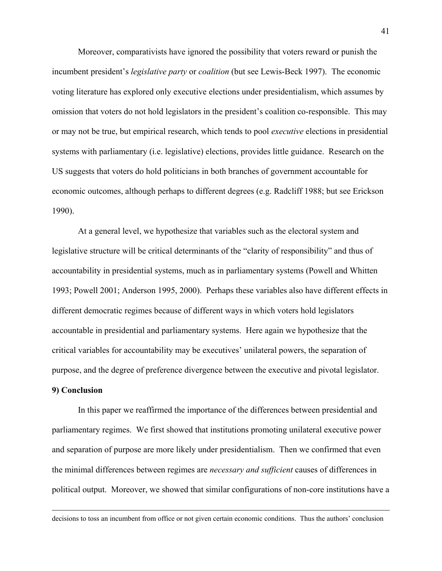Moreover, comparativists have ignored the possibility that voters reward or punish the incumbent president's *legislative party* or *coalition* (but see Lewis-Beck 1997). The economic voting literature has explored only executive elections under presidentialism, which assumes by omission that voters do not hold legislators in the president's coalition co-responsible. This may or may not be true, but empirical research, which tends to pool *executive* elections in presidential systems with parliamentary (i.e. legislative) elections, provides little guidance. Research on the US suggests that voters do hold politicians in both branches of government accountable for economic outcomes, although perhaps to different degrees (e.g. Radcliff 1988; but see Erickson 1990).

At a general level, we hypothesize that variables such as the electoral system and legislative structure will be critical determinants of the "clarity of responsibility" and thus of accountability in presidential systems, much as in parliamentary systems (Powell and Whitten 1993; Powell 2001; Anderson 1995, 2000). Perhaps these variables also have different effects in different democratic regimes because of different ways in which voters hold legislators accountable in presidential and parliamentary systems. Here again we hypothesize that the critical variables for accountability may be executives' unilateral powers, the separation of purpose, and the degree of preference divergence between the executive and pivotal legislator.

## **9) Conclusion**

In this paper we reaffirmed the importance of the differences between presidential and parliamentary regimes. We first showed that institutions promoting unilateral executive power and separation of purpose are more likely under presidentialism. Then we confirmed that even the minimal differences between regimes are *necessary and sufficient* causes of differences in political output. Moreover, we showed that similar configurations of non-core institutions have a

decisions to toss an incumbent from office or not given certain economic conditions. Thus the authors' conclusion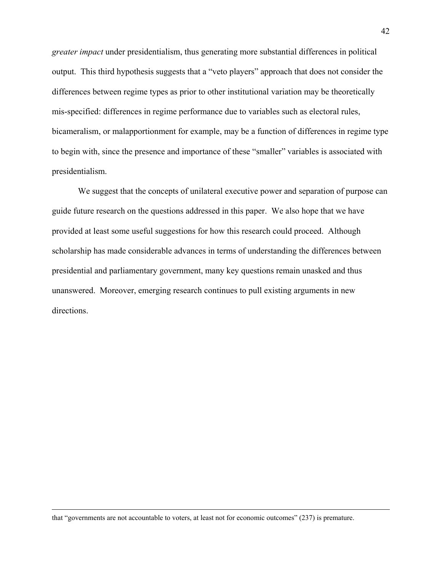*greater impact* under presidentialism, thus generating more substantial differences in political output. This third hypothesis suggests that a "veto players" approach that does not consider the differences between regime types as prior to other institutional variation may be theoretically mis-specified: differences in regime performance due to variables such as electoral rules, bicameralism, or malapportionment for example, may be a function of differences in regime type to begin with, since the presence and importance of these "smaller" variables is associated with presidentialism.

We suggest that the concepts of unilateral executive power and separation of purpose can guide future research on the questions addressed in this paper. We also hope that we have provided at least some useful suggestions for how this research could proceed. Although scholarship has made considerable advances in terms of understanding the differences between presidential and parliamentary government, many key questions remain unasked and thus unanswered. Moreover, emerging research continues to pull existing arguments in new directions.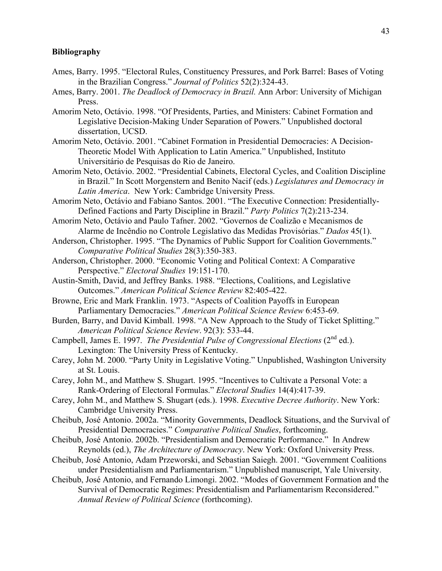### **Bibliography**

- Ames, Barry. 1995. "Electoral Rules, Constituency Pressures, and Pork Barrel: Bases of Voting in the Brazilian Congress." *Journal of Politics* 52(2):324-43.
- Ames, Barry. 2001. *The Deadlock of Democracy in Brazil.* Ann Arbor: University of Michigan Press.
- Amorim Neto, Octávio. 1998. "Of Presidents, Parties, and Ministers: Cabinet Formation and Legislative Decision-Making Under Separation of Powers." Unpublished doctoral dissertation, UCSD.
- Amorim Neto, Octávio. 2001. "Cabinet Formation in Presidential Democracies: A Decision-Theoretic Model With Application to Latin America." Unpublished, Instituto Universitário de Pesquisas do Rio de Janeiro.
- Amorim Neto, Octávio. 2002. "Presidential Cabinets, Electoral Cycles, and Coalition Discipline in Brazil." In Scott Morgenstern and Benito Nacif (eds.) *Legislatures and Democracy in Latin America*. New York: Cambridge University Press.
- Amorim Neto, Octávio and Fabiano Santos. 2001. "The Executive Connection: Presidentially-Defined Factions and Party Discipline in Brazil." *Party Politics* 7(2):213-234.
- Amorim Neto, Octávio and Paulo Tafner. 2002. "Governos de Coalizão e Mecanismos de Alarme de Incêndio no Controle Legislativo das Medidas Provisórias." *Dados* 45(1).
- Anderson, Christopher. 1995. "The Dynamics of Public Support for Coalition Governments." *Comparative Political Studies* 28(3):350-383.
- Anderson, Christopher. 2000. "Economic Voting and Political Context: A Comparative Perspective." *Electoral Studies* 19:151-170.
- Austin-Smith, David, and Jeffrey Banks. 1988. "Elections, Coalitions, and Legislative Outcomes." *American Political Science Review* 82:405-422.
- Browne, Eric and Mark Franklin. 1973. "Aspects of Coalition Payoffs in European Parliamentary Democracies." *American Political Science Review* 6:453-69.
- Burden, Barry, and David Kimball. 1998. "A New Approach to the Study of Ticket Splitting." *American Political Science Review*. 92(3): 533-44.
- Campbell, James E. 1997. *The Presidential Pulse of Congressional Elections* (2<sup>nd</sup> ed.). Lexington: The University Press of Kentucky.
- Carey, John M. 2000. "Party Unity in Legislative Voting." Unpublished, Washington University at St. Louis.
- Carey, John M., and Matthew S. Shugart. 1995. "Incentives to Cultivate a Personal Vote: a Rank-Ordering of Electoral Formulas." *Electoral Studies* 14(4):417-39.
- Carey, John M., and Matthew S. Shugart (eds.). 1998. *Executive Decree Authority*. New York: Cambridge University Press.
- Cheibub, José Antonio. 2002a. "Minority Governments, Deadlock Situations, and the Survival of Presidential Democracies." *Comparative Political Studies*, forthcoming.
- Cheibub, José Antonio. 2002b. "Presidentialism and Democratic Performance." In Andrew Reynolds (ed.), *The Architecture of Democracy*. New York: Oxford University Press.
- Cheibub, José Antonio, Adam Przeworski, and Sebastian Saiegh. 2001. "Government Coalitions under Presidentialism and Parliamentarism." Unpublished manuscript, Yale University.
- Cheibub, José Antonio, and Fernando Limongi. 2002. "Modes of Government Formation and the Survival of Democratic Regimes: Presidentialism and Parliamentarism Reconsidered." *Annual Review of Political Science* (forthcoming).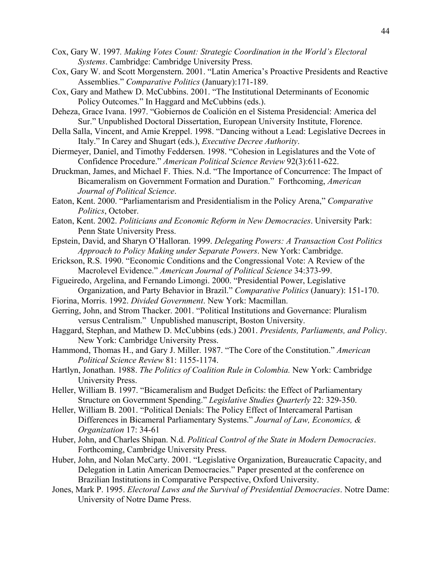- Cox, Gary W. 1997*. Making Votes Count: Strategic Coordination in the World's Electoral Systems*. Cambridge: Cambridge University Press.
- Cox, Gary W. and Scott Morgenstern. 2001. "Latin America's Proactive Presidents and Reactive Assemblies." *Comparative Politics* (January):171-189.
- Cox, Gary and Mathew D. McCubbins. 2001. "The Institutional Determinants of Economic Policy Outcomes." In Haggard and McCubbins (eds.).
- Deheza, Grace Ivana. 1997. "Gobiernos de Coalición en el Sistema Presidencial: America del Sur." Unpublished Doctoral Dissertation, European University Institute, Florence.
- Della Salla, Vincent, and Amie Kreppel. 1998. "Dancing without a Lead: Legislative Decrees in Italy." In Carey and Shugart (eds.), *Executive Decree Authority*.
- Diermeyer, Daniel, and Timothy Feddersen. 1998. "Cohesion in Legislatures and the Vote of Confidence Procedure." *American Political Science Review* 92(3):611-622.
- Druckman, James, and Michael F. Thies. N.d. "The Importance of Concurrence: The Impact of Bicameralism on Government Formation and Duration." Forthcoming, *American Journal of Political Science*.
- Eaton, Kent. 2000. "Parliamentarism and Presidentialism in the Policy Arena," *Comparative Politics*, October.
- Eaton, Kent. 2002. *Politicians and Economic Reform in New Democracies*. University Park: Penn State University Press.
- Epstein, David, and Sharyn O'Halloran. 1999. *Delegating Powers: A Transaction Cost Politics Approach to Policy Making under Separate Powers*. New York: Cambridge.
- Erickson, R.S. 1990. "Economic Conditions and the Congressional Vote: A Review of the Macrolevel Evidence." *American Journal of Political Science* 34:373-99.
- Figueiredo, Argelina, and Fernando Limongi. 2000. "Presidential Power, Legislative Organization, and Party Behavior in Brazil." *Comparative Politics* (January): 151-170.
- Fiorina, Morris. 1992. *Divided Government*. New York: Macmillan.
- Gerring, John, and Strom Thacker. 2001. "Political Institutions and Governance: Pluralism versus Centralism." Unpublished manuscript, Boston University.
- Haggard, Stephan, and Mathew D. McCubbins (eds.) 2001. *Presidents, Parliaments, and Policy*. New York: Cambridge University Press.
- Hammond, Thomas H., and Gary J. Miller. 1987. "The Core of the Constitution." *American Political Science Review* 81: 1155-1174.
- Hartlyn, Jonathan. 1988. *The Politics of Coalition Rule in Colombia.* New York: Cambridge University Press.
- Heller, William B. 1997. "Bicameralism and Budget Deficits: the Effect of Parliamentary Structure on Government Spending." *Legislative Studies Quarterly* 22: 329-350.
- Heller, William B. 2001. "Political Denials: The Policy Effect of Intercameral Partisan Differences in Bicameral Parliamentary Systems." *Journal of Law, Economics, & Organization* 17: 34-61
- Huber, John, and Charles Shipan. N.d. *Political Control of the State in Modern Democracies*. Forthcoming, Cambridge University Press.
- Huber, John, and Nolan McCarty. 2001. "Legislative Organization, Bureaucratic Capacity, and Delegation in Latin American Democracies." Paper presented at the conference on Brazilian Institutions in Comparative Perspective, Oxford University.
- Jones, Mark P. 1995. *Electoral Laws and the Survival of Presidential Democracies*. Notre Dame: University of Notre Dame Press.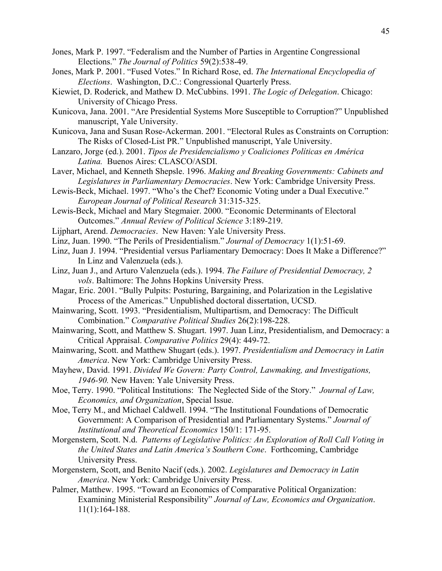- Jones, Mark P. 1997. "Federalism and the Number of Parties in Argentine Congressional Elections." *The Journal of Politics* 59(2):538-49.
- Jones, Mark P. 2001. "Fused Votes." In Richard Rose, ed. *The International Encyclopedia of Elections*. Washington, D.C.: Congressional Quarterly Press.
- Kiewiet, D. Roderick, and Mathew D. McCubbins. 1991. *The Logic of Delegation*. Chicago: University of Chicago Press.
- Kunicova, Jana. 2001. "Are Presidential Systems More Susceptible to Corruption?" Unpublished manuscript, Yale University.
- Kunicova, Jana and Susan Rose-Ackerman. 2001. "Electoral Rules as Constraints on Corruption: The Risks of Closed-List PR." Unpublished manuscript, Yale University.
- Lanzaro, Jorge (ed.). 2001. *Tipos de Presidencialismo y Coaliciones Políticas en América Latina.* Buenos Aires: CLASCO/ASDI.
- Laver, Michael, and Kenneth Shepsle. 1996. *Making and Breaking Governments: Cabinets and Legislatures in Parliamentary Democracies*. New York: Cambridge University Press.
- Lewis-Beck, Michael. 1997. "Who's the Chef? Economic Voting under a Dual Executive." *European Journal of Political Research* 31:315-325.
- Lewis-Beck, Michael and Mary Stegmaier. 2000. "Economic Determinants of Electoral Outcomes." *Annual Review of Political Science* 3:189-219.
- Lijphart, Arend. *Democracies*. New Haven: Yale University Press.
- Linz, Juan. 1990. "The Perils of Presidentialism." *Journal of Democracy* 1(1):51-69.
- Linz, Juan J. 1994. "Presidential versus Parliamentary Democracy: Does It Make a Difference?" In Linz and Valenzuela (eds.).
- Linz, Juan J., and Arturo Valenzuela (eds.). 1994. *The Failure of Presidential Democracy, 2 vols*. Baltimore: The Johns Hopkins University Press.
- Magar, Eric. 2001. "Bully Pulpits: Posturing, Bargaining, and Polarization in the Legislative Process of the Americas." Unpublished doctoral dissertation, UCSD.
- Mainwaring, Scott. 1993. "Presidentialism, Multipartism, and Democracy: The Difficult Combination." *Comparative Political Studies* 26(2):198-228.
- Mainwaring, Scott, and Matthew S. Shugart. 1997. Juan Linz, Presidentialism, and Democracy: a Critical Appraisal. *Comparative Politics* 29(4): 449-72.
- Mainwaring, Scott. and Matthew Shugart (eds.). 1997. *Presidentialism and Democracy in Latin America*. New York: Cambridge University Press.
- Mayhew, David. 1991. *Divided We Govern: Party Control, Lawmaking, and Investigations, 1946-90.* New Haven: Yale University Press.
- Moe, Terry. 1990. "Political Institutions: The Neglected Side of the Story." *Journal of Law, Economics, and Organization*, Special Issue.
- Moe, Terry M., and Michael Caldwell. 1994. "The Institutional Foundations of Democratic Government: A Comparison of Presidential and Parliamentary Systems." *Journal of Institutional and Theoretical Economics* 150/1: 171-95.
- Morgenstern, Scott. N.d. *Patterns of Legislative Politics: An Exploration of Roll Call Voting in the United States and Latin America's Southern Cone*. Forthcoming, Cambridge University Press.
- Morgenstern, Scott, and Benito Nacif (eds.). 2002. *Legislatures and Democracy in Latin America*. New York: Cambridge University Press.
- Palmer, Matthew. 1995. "Toward an Economics of Comparative Political Organization: Examining Ministerial Responsibility" *Journal of Law, Economics and Organization*. 11(1):164-188.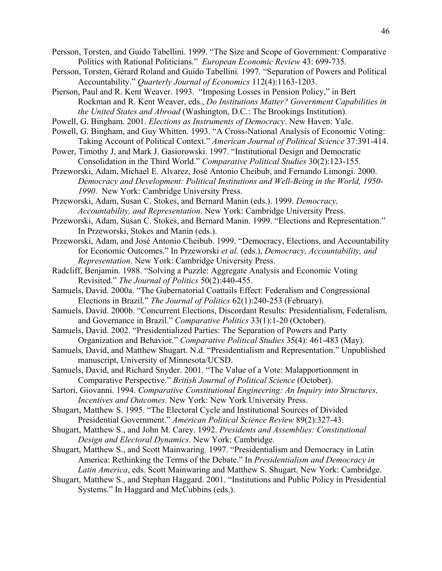Persson, Torsten, and Guido Tabellini. 1999. "The Size and Scope of Government: Comparative Politics with Rational Politicians." *European Economic Review* 43: 699-735.

- Persson, Torsten, Gérard Roland and Guido Tabellini*.* 1997. "Separation of Powers and Political Accountability." *Quarterly Journal of Economics* 112(4):1163-1203.
- Pierson, Paul and R. Kent Weaver. 1993. "Imposing Losses in Pension Policy," in Bert Rockman and R. Kent Weaver, eds., *Do Institutions Matter? Government Capabilities in the United States and Abroad* (Washington, D.C.: The Brookings Institution).
- Powell, G. Bingham. 2001. *Elections as Instruments of Democracy*. New Haven: Yale.
- Powell, G. Bingham, and Guy Whitten. 1993. "A Cross-National Analysis of Economic Voting: Taking Account of Political Context." *American Journal of Political Science* 37:391-414.
- Power, Timothy J, and Mark J. Gasiorowski. 1997. "Institutional Design and Democratic Consolidation in the Third World." *Comparative Political Studies* 30(2):123-155.
- Przeworski, Adam, Michael E. Alvarez, José Antonio Cheibub, and Fernando Limongi. 2000. *Democracy and Development: Political Institutions and Well-Being in the World, 1950- 1990*. New York: Cambridge University Press.

Przeworski, Adam, Susan C. Stokes, and Bernard Manin (eds.). 1999. *Democracy, Accountability, and Representation*. New York: Cambridge University Press.

- Przeworski, Adam, Susan C. Stokes, and Bernard Manin. 1999. "Elections and Representation." In Przeworski, Stokes and Manin (eds.).
- Przeworski, Adam, and José Antonio Cheibub. 1999. "Democracy, Elections, and Accountability for Economic Outcomes." In Przeworski *et al.* (eds.), *Democracy, Accountability, and Representation*. New York: Cambridge University Press.
- Radcliff, Benjamin. 1988. "Solving a Puzzle: Aggregate Analysis and Economic Voting Revisited." *The Journal of Politics* 50(2):440-455.
- Samuels, David. 2000a. "The Gubernatorial Coattails Effect: Federalism and Congressional Elections in Brazil." *The Journal of Politics* 62(1):240-253 (February).
- Samuels, David. 2000b. "Concurrent Elections, Discordant Results: Presidentialism, Federalism, and Governance in Brazil." *Comparative Politics* 33(1):1-20 (October).
- Samuels, David. 2002. "Presidentialized Parties: The Separation of Powers and Party Organization and Behavior." *Comparative Political Studies* 35(4): 461-483 (May).
- Samuels, David, and Matthew Shugart. N.d. "Presidentialism and Representation." Unpublished manuscript, University of Minnesota/UCSD.
- Samuels, David, and Richard Snyder. 2001. "The Value of a Vote: Malapportionment in Comparative Perspective." *British Journal of Political Science* (October).
- Sartori, Giovanni. 1994. *Comparative Constitutional Engineering: An Inquiry into Structures, Incentives and Outcomes*. New York: New York University Press.
- Shugart, Matthew S. 1995. "The Electoral Cycle and Institutional Sources of Divided Presidential Government." *American Political Science Review* 89(2):327-43.
- Shugart, Matthew S., and John M. Carey. 1992. *Presidents and Assemblies: Constitutional Design and Electoral Dynamics*. New York: Cambridge.
- Shugart, Matthew S., and Scott Mainwaring. 1997. "Presidentialism and Democracy in Latin America: Rethinking the Terms of the Debate." In *Presidentialism and Democracy in Latin America*, eds. Scott Mainwaring and Matthew S. Shugart. New York: Cambridge.
- Shugart, Matthew S., and Stephan Haggard. 2001. "Institutions and Public Policy in Presidential Systems." In Haggard and McCubbins (eds.).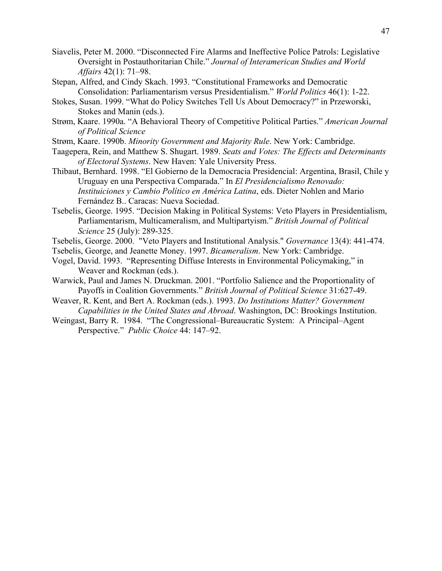- Siavelis, Peter M. 2000. "Disconnected Fire Alarms and Ineffective Police Patrols: Legislative Oversight in Postauthoritarian Chile." *Journal of Interamerican Studies and World Affairs* 42(1): 71–98.
- Stepan, Alfred, and Cindy Skach. 1993. "Constitutional Frameworks and Democratic Consolidation: Parliamentarism versus Presidentialism." *World Politics* 46(1): 1-22.
- Stokes, Susan. 1999. "What do Policy Switches Tell Us About Democracy?" in Przeworski, Stokes and Manin (eds.).
- Strøm, Kaare. 1990a. "A Behavioral Theory of Competitive Political Parties." *American Journal of Political Science*
- Strøm, Kaare. 1990b. *Minority Government and Majority Rule*. New York: Cambridge.
- Taagepera, Rein, and Matthew S. Shugart. 1989. *Seats and Votes: The Effects and Determinants of Electoral Systems*. New Haven: Yale University Press.
- Thibaut, Bernhard. 1998. "El Gobierno de la Democracia Presidencial: Argentina, Brasil, Chile y Uruguay en una Perspectiva Comparada." In *El Presidencialismo Renovado: Instituiciones y Cambio Político en América Latina*, eds. Dieter Nohlen and Mario Fernández B.. Caracas: Nueva Sociedad.
- Tsebelis, George. 1995. "Decision Making in Political Systems: Veto Players in Presidentialism, Parliamentarism, Multicameralism, and Multipartyism." *British Journal of Political Science* 25 (July): 289-325.
- Tsebelis, George. 2000. "Veto Players and Institutional Analysis." *Governance* 13(4): 441-474.
- Tsebelis, George, and Jeanette Money. 1997. *Bicameralism*. New York: Cambridge.
- Vogel, David. 1993. "Representing Diffuse Interests in Environmental Policymaking," in Weaver and Rockman (eds.).
- Warwick, Paul and James N. Druckman. 2001. "Portfolio Salience and the Proportionality of Payoffs in Coalition Governments." *British Journal of Political Science* 31:627-49.
- Weaver, R. Kent, and Bert A. Rockman (eds.). 1993. *Do Institutions Matter? Government Capabilities in the United States and Abroad*. Washington, DC: Brookings Institution.
- Weingast, Barry R. 1984. "The Congressional–Bureaucratic System: A Principal–Agent Perspective." *Public Choice* 44: 147–92.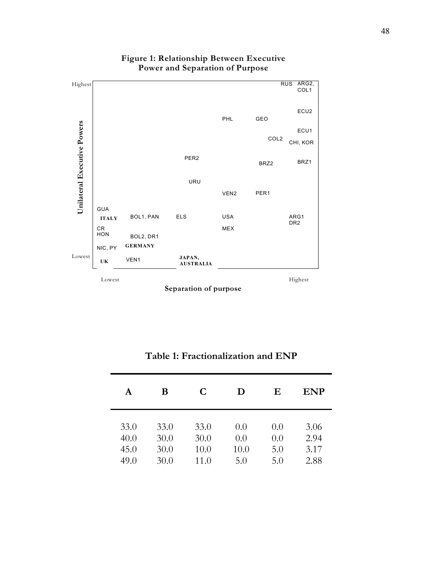

## **Figure 1: Relationship Between Executive Power and Separation of Purpose**

**Separation of purpose**

| A    | В    | C    | D    | Ε   | <b>ENP</b> |
|------|------|------|------|-----|------------|
| 33.0 | 33.0 | 33.0 | 0.0  | 0.0 | 3.06       |
| 40.0 | 30.0 | 30.0 | 0.0  | 0.0 | 2.94       |
| 45.0 | 30.0 | 10.0 | 10.0 | 5.0 | 3.17       |
| 49.0 | 30.0 | 11.0 | 5.0  | 5.0 | 2.88       |

**Table 1: Fractionalization and ENP**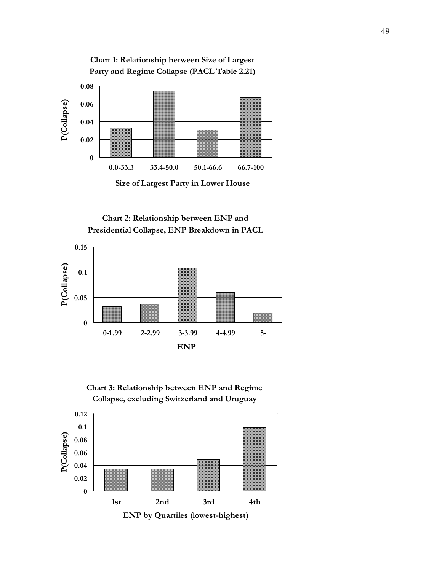